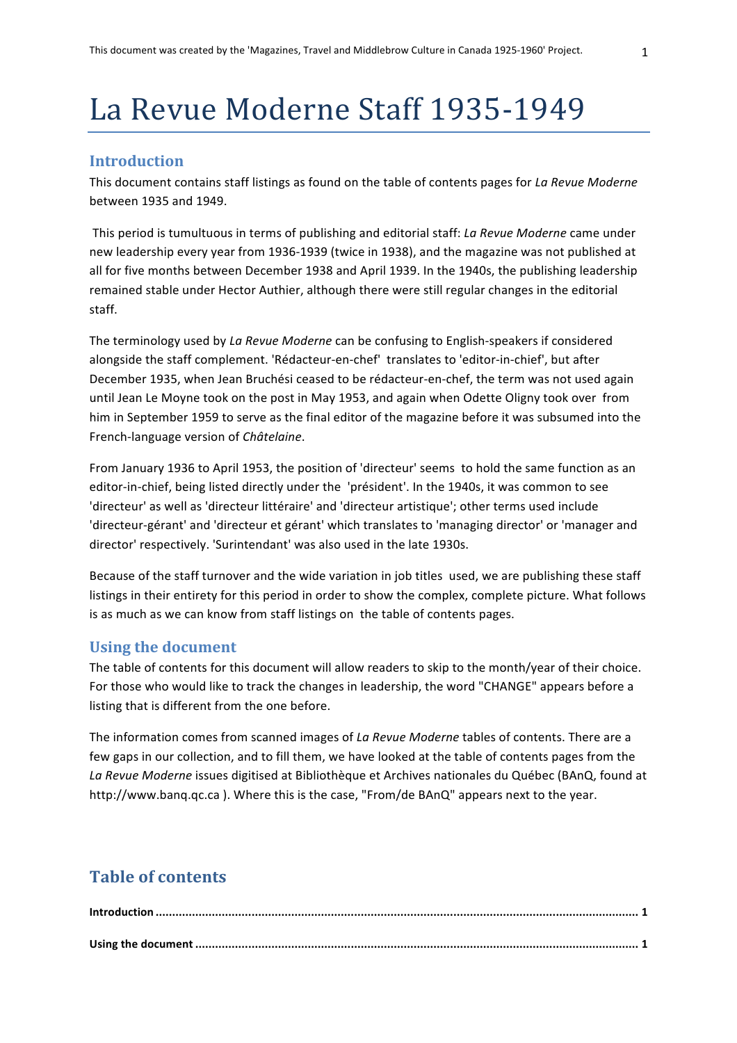# La Revue Moderne Staff 1935-1949

## **Introduction**

This document contains staff listings as found on the table of contents pages for *La Revue Moderne* between 1935 and 1949.

This period is tumultuous in terms of publishing and editorial staff: *La Revue Moderne* came under new leadership every year from 1936-1939 (twice in 1938), and the magazine was not published at all for five months between December 1938 and April 1939. In the 1940s, the publishing leadership remained stable under Hector Authier, although there were still regular changes in the editorial staff.

The terminology used by *La Revue Moderne* can be confusing to English-speakers if considered alongside the staff complement. 'Rédacteur-en-chef' translates to 'editor-in-chief', but after December 1935, when Jean Bruchési ceased to be rédacteur-en-chef, the term was not used again until Jean Le Moyne took on the post in May 1953, and again when Odette Oligny took over from him in September 1959 to serve as the final editor of the magazine before it was subsumed into the French-language version of *Châtelaine*.

From January 1936 to April 1953, the position of 'directeur' seems to hold the same function as an editor-in-chief, being listed directly under the 'président'. In the 1940s, it was common to see 'directeur' as well as 'directeur littéraire' and 'directeur artistique'; other terms used include 'directeur-gérant' and 'directeur et gérant' which translates to 'managing director' or 'manager and director' respectively. 'Surintendant' was also used in the late 1930s.

Because of the staff turnover and the wide variation in job titles used, we are publishing these staff listings in their entirety for this period in order to show the complex, complete picture. What follows is as much as we can know from staff listings on the table of contents pages.

## **Using the document**

The table of contents for this document will allow readers to skip to the month/year of their choice. For those who would like to track the changes in leadership, the word "CHANGE" appears before a listing that is different from the one before.

The information comes from scanned images of *La Revue Moderne* tables of contents. There are a few gaps in our collection, and to fill them, we have looked at the table of contents pages from the La Revue Moderne issues digitised at Bibliothèque et Archives nationales du Québec (BAnQ, found at http://www.banq.qc.ca ). Where this is the case, "From/de BAnQ" appears next to the year.

## **Table of contents**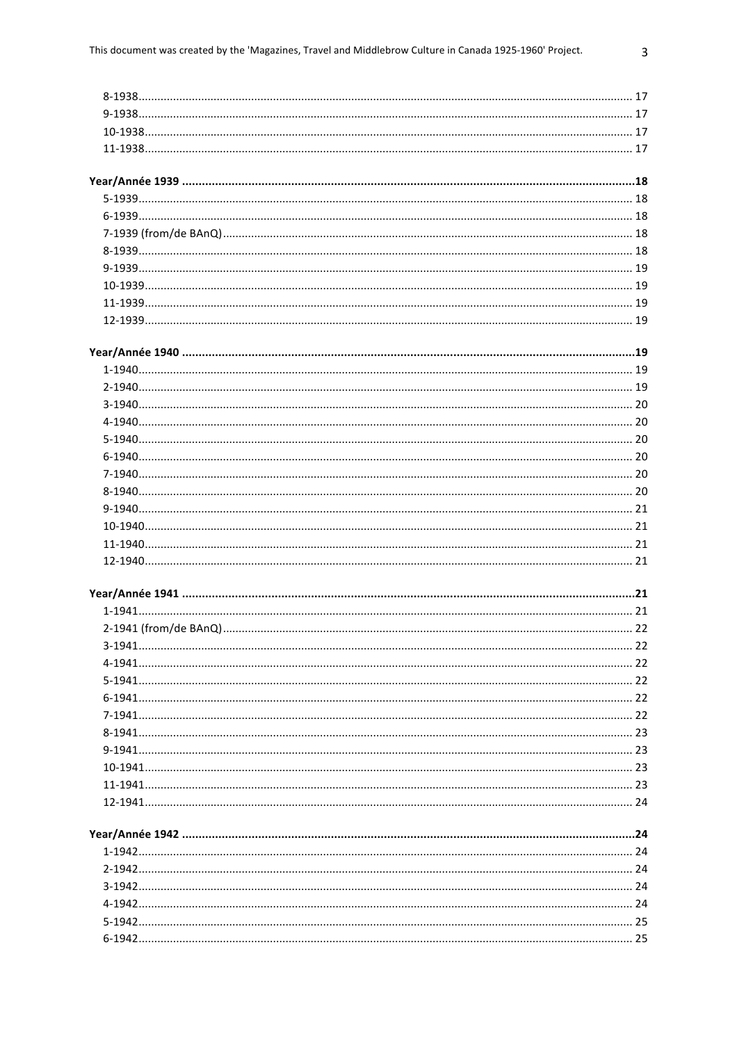| $3-1941$ . |  |
|------------|--|
|            |  |
|            |  |
|            |  |
|            |  |
|            |  |
|            |  |
|            |  |
|            |  |
|            |  |
|            |  |
|            |  |
|            |  |
|            |  |
|            |  |
|            |  |
|            |  |
|            |  |
|            |  |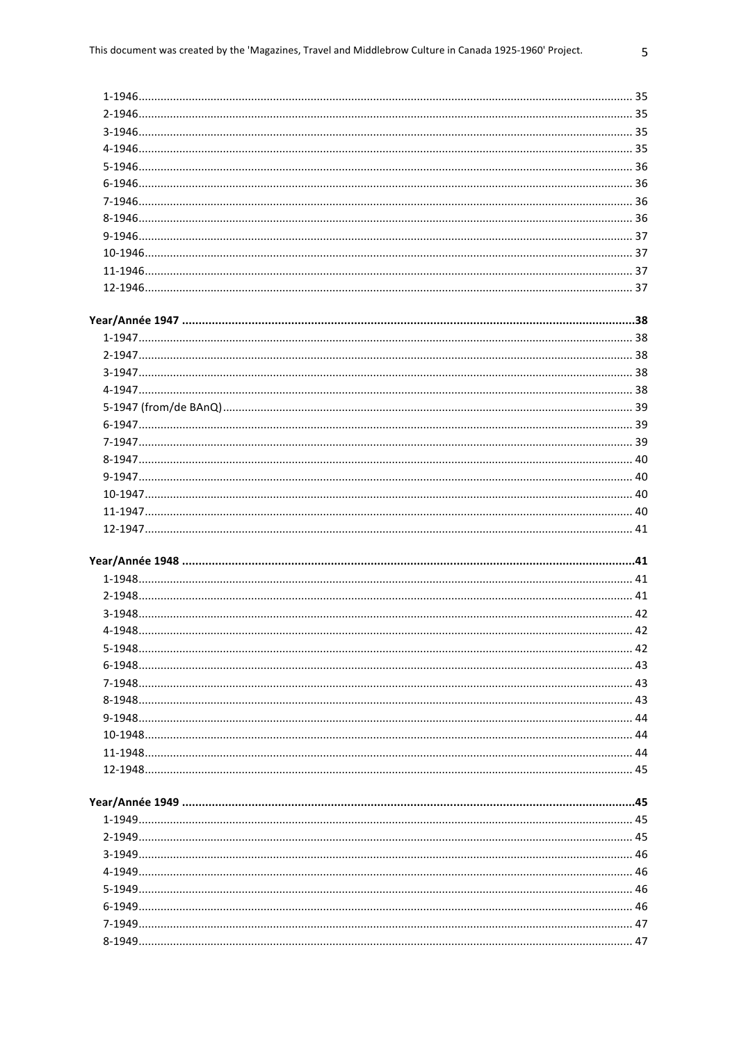| 35  |
|-----|
|     |
| 35  |
|     |
| 36  |
| 36  |
| 36  |
| -36 |
|     |
|     |
| 37  |
| 37  |
|     |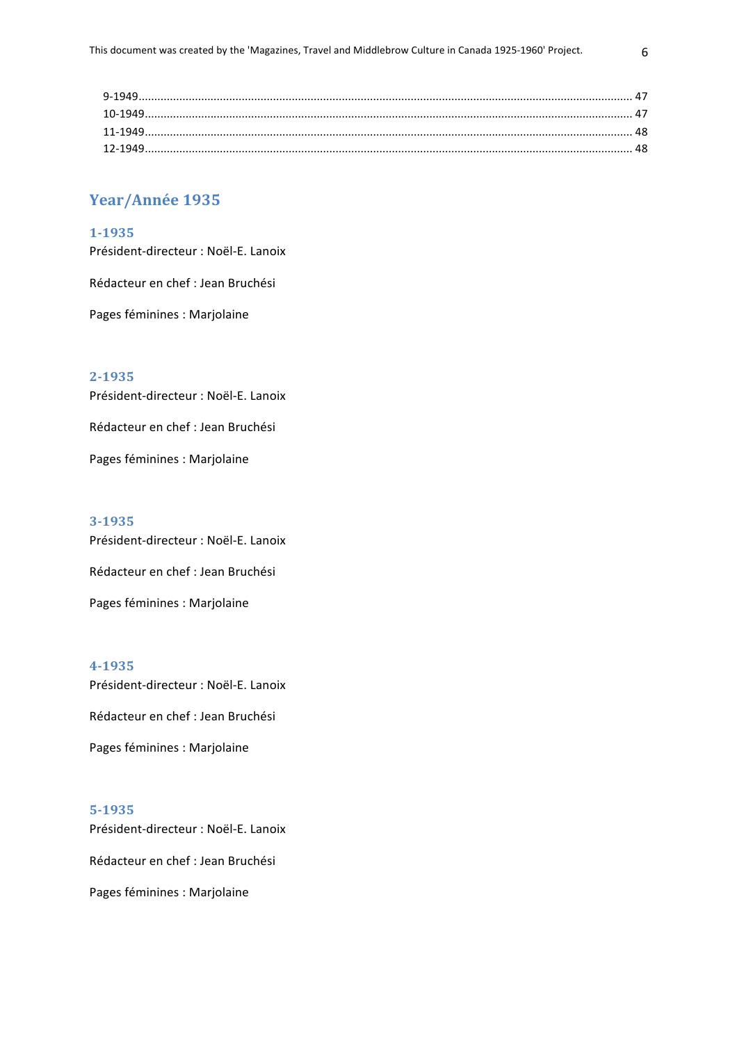## Year/Année 1935

#### **1-1935**

Président-directeur : Noël-E. Lanoix

Rédacteur en chef : Jean Bruchési

Pages féminines : Marjolaine

## **2-1935**

Président-directeur : Noël-E. Lanoix

Rédacteur en chef : Jean Bruchési

Pages féminines : Marjolaine

#### **3-1935**

Président-directeur : Noël-F. Lanoix

Rédacteur en chef : Jean Bruchési

Pages féminines : Marjolaine

#### **4-1935**

Président-directeur : Noël-E. Lanoix

Rédacteur en chef : Jean Bruchési

Pages féminines : Marjolaine

## **5-1935**

Président-directeur : Noël-E. Lanoix Rédacteur en chef : Jean Bruchési

Pages féminines : Marjolaine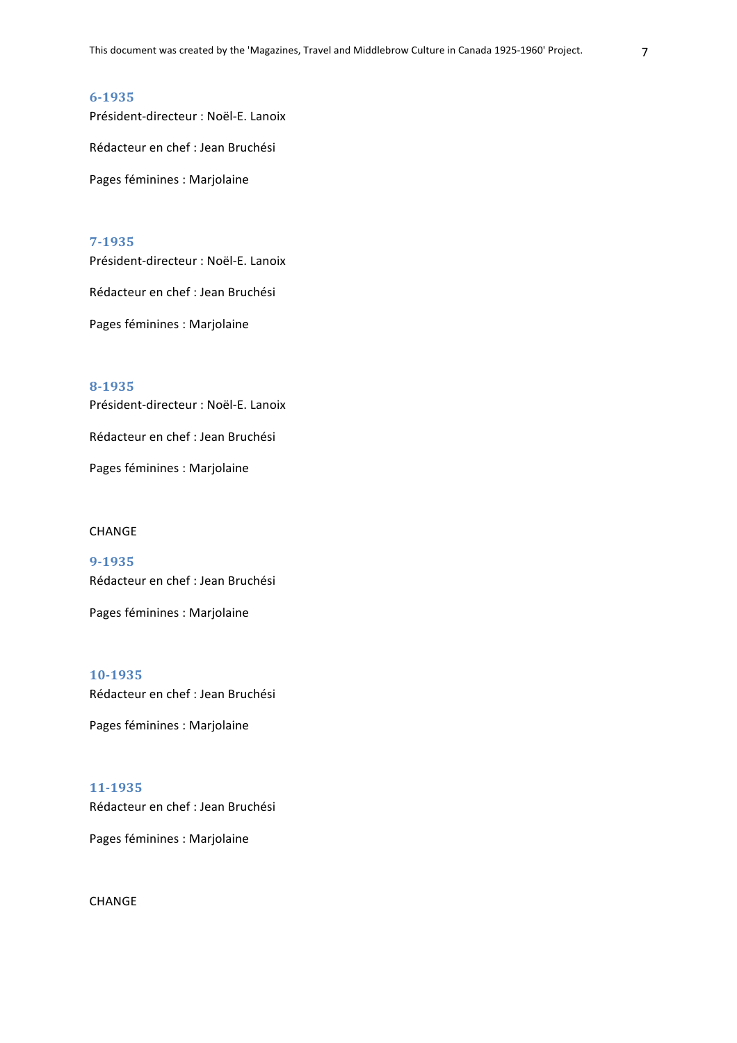Président-directeur : Noël-E. Lanoix

Rédacteur en chef : Jean Bruchési

Pages féminines : Marjolaine

## **7-1935**

Président-directeur : Noël-E. Lanoix Rédacteur en chef : Jean Bruchési Pages féminines : Marjolaine

**8-1935** Président-directeur : Noël-E. Lanoix Rédacteur en chef : Jean Bruchési

Pages féminines : Marjolaine

#### CHANGE

**9-1935**  Rédacteur en chef : Jean Bruchési

Pages féminines : Marjolaine

**10-1935**  Rédacteur en chef : Jean Bruchési

Pages féminines : Marjolaine

## **11-1935**

Rédacteur en chef : Jean Bruchési

Pages féminines : Marjolaine

CHANGE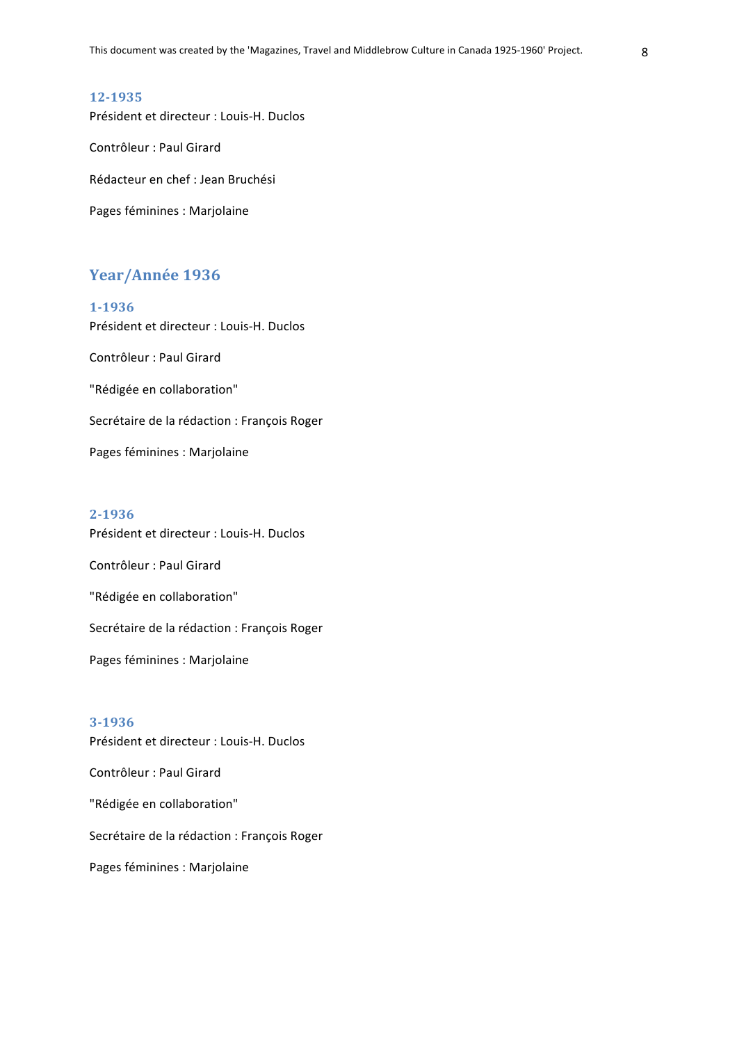Président et directeur : Louis-H. Duclos Contrôleur : Paul Girard Rédacteur en chef : Jean Bruchési Pages féminines : Marjolaine

## Year/Année 1936

**1-1936** Président et directeur : Louis-H. Duclos Contrôleur : Paul Girard "Rédigée en collaboration" Secrétaire de la rédaction : François Roger Pages féminines : Marjolaine

#### **2-1936**

Président et directeur : Louis-H. Duclos Contrôleur : Paul Girard "Rédigée en collaboration" Secrétaire de la rédaction : François Roger Pages féminines : Marjolaine

#### **3-1936**

Président et directeur : Louis-H. Duclos Contrôleur : Paul Girard "Rédigée en collaboration" Secrétaire de la rédaction : François Roger Pages féminines : Marjolaine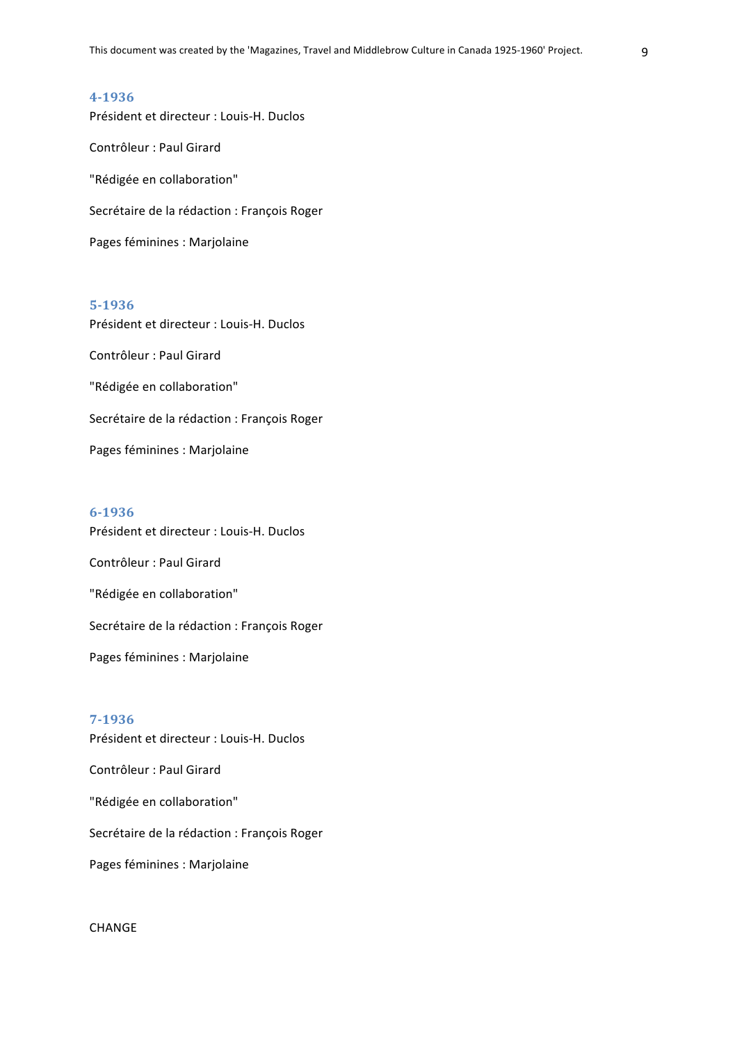Président et directeur : Louis-H. Duclos Contrôleur : Paul Girard "Rédigée en collaboration" Secrétaire de la rédaction : François Roger Pages féminines : Marjolaine

## **5-1936**

Président et directeur : Louis-H. Duclos Contrôleur : Paul Girard "Rédigée en collaboration" Secrétaire de la rédaction : François Roger Pages féminines : Marjolaine

#### **6-1936**

Président et directeur : Louis-H. Duclos Contrôleur : Paul Girard "Rédigée en collaboration" Secrétaire de la rédaction : François Roger Pages féminines : Marjolaine

## **7-1936**

Président et directeur : Louis-H. Duclos Contrôleur : Paul Girard "Rédigée en collaboration" Secrétaire de la rédaction : François Roger Pages féminines : Marjolaine

CHANGE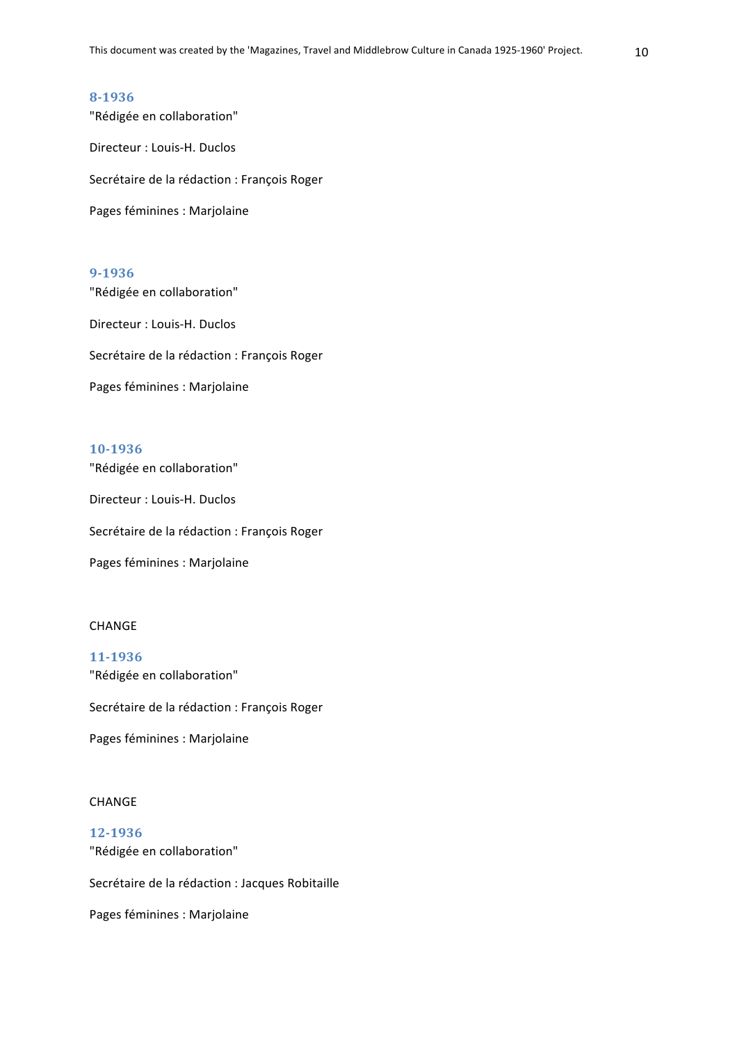"Rédigée en collaboration" Directeur : Louis-H. Duclos Secrétaire de la rédaction : François Roger Pages féminines : Marjolaine

#### **9-1936**

"Rédigée en collaboration" Directeur : Louis-H. Duclos Secrétaire de la rédaction : François Roger

Pages féminines : Marjolaine

#### **10-1936**

"Rédigée en collaboration" Directeur : Louis-H. Duclos Secrétaire de la rédaction : François Roger Pages féminines : Marjolaine

#### CHANGE

**11-1936**  "Rédigée en collaboration" Secrétaire de la rédaction : François Roger Pages féminines : Marjolaine

#### CHANGE

**12-1936** "Rédigée en collaboration" Secrétaire de la rédaction : Jacques Robitaille Pages féminines : Marjolaine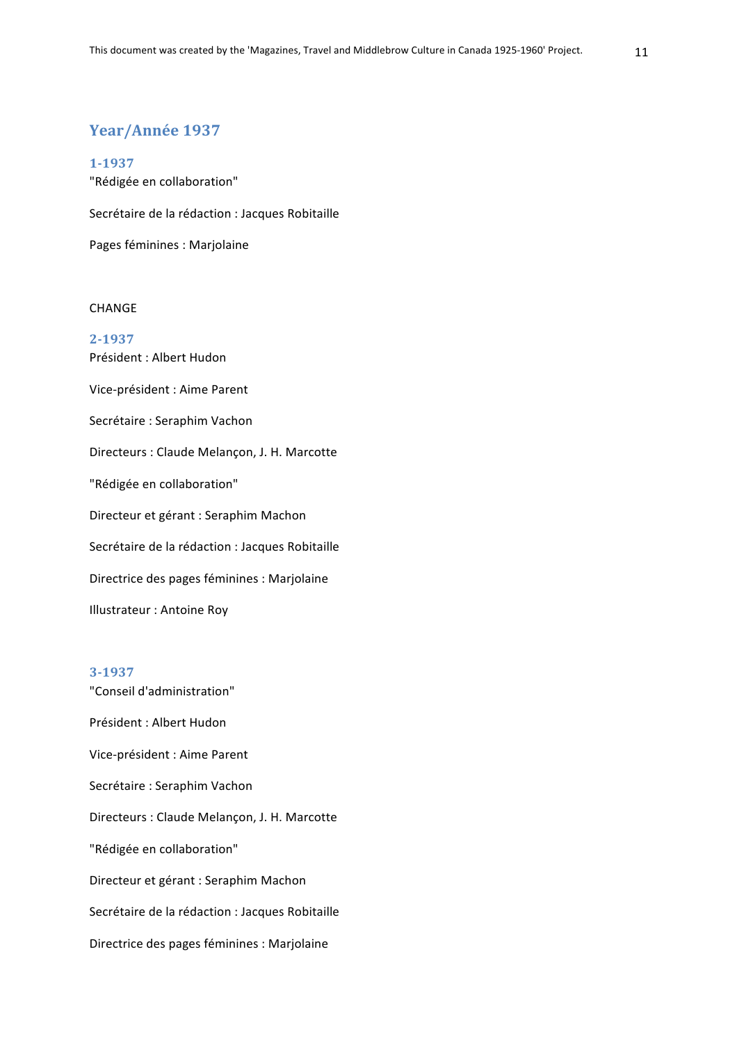## Year/Année 1937

**1-1937** "Rédigée en collaboration"

Secrétaire de la rédaction : Jacques Robitaille

Pages féminines : Marjolaine

## **CHANGE**

**2-1937** Président : Albert Hudon Vice-président : Aime Parent Secrétaire : Seraphim Vachon Directeurs : Claude Melançon, J. H. Marcotte "Rédigée en collaboration" Directeur et gérant : Seraphim Machon Secrétaire de la rédaction : Jacques Robitaille Directrice des pages féminines : Marjolaine Illustrateur : Antoine Roy

## **3-1937**

"Conseil d'administration" Président : Albert Hudon Vice-président : Aime Parent Secrétaire : Seraphim Vachon Directeurs : Claude Melançon, J. H. Marcotte "Rédigée en collaboration" Directeur et gérant : Seraphim Machon Secrétaire de la rédaction : Jacques Robitaille Directrice des pages féminines : Marjolaine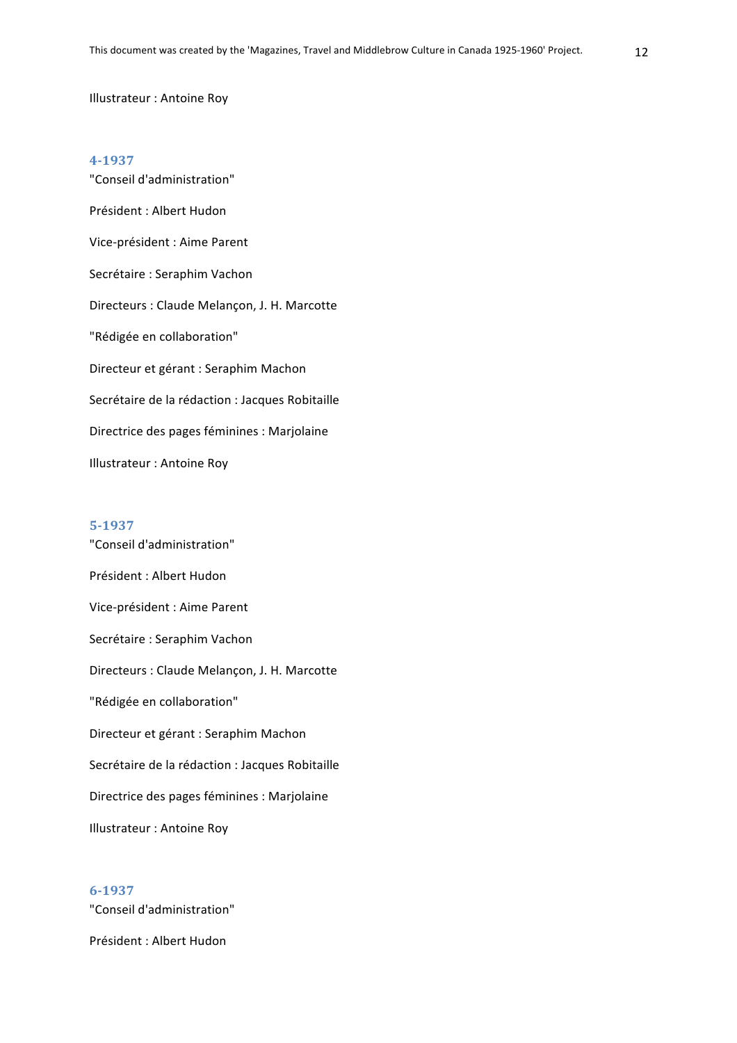#### Illustrateur : Antoine Roy

#### **4-1937**

"Conseil d'administration" Président : Albert Hudon Vice-président : Aime Parent Secrétaire : Seraphim Vachon Directeurs : Claude Melançon, J. H. Marcotte "Rédigée en collaboration" Directeur et gérant : Seraphim Machon Secrétaire de la rédaction : Jacques Robitaille Directrice des pages féminines : Marjolaine Illustrateur : Antoine Roy

#### **5-1937**

"Conseil d'administration" Président : Albert Hudon Vice-président : Aime Parent Secrétaire : Seraphim Vachon Directeurs : Claude Melançon, J. H. Marcotte "Rédigée en collaboration" Directeur et gérant : Seraphim Machon Secrétaire de la rédaction : Jacques Robitaille Directrice des pages féminines : Marjolaine Illustrateur : Antoine Roy

## **6-1937**

"Conseil d'administration"

Président : Albert Hudon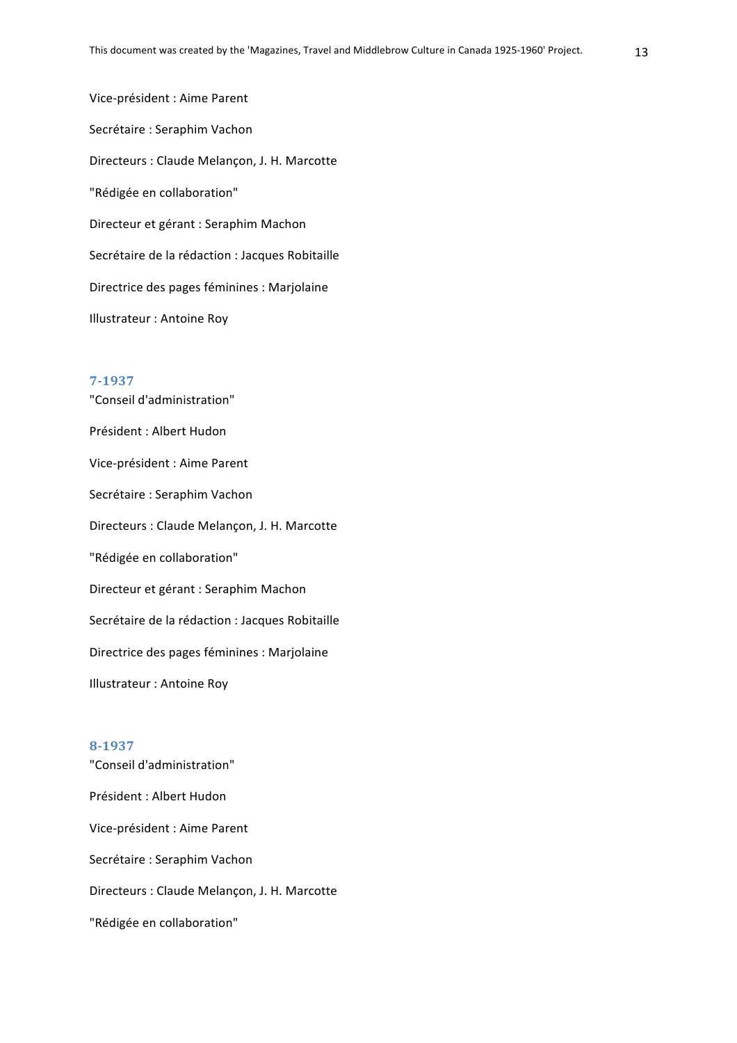Vice-président : Aime Parent Secrétaire : Seraphim Vachon Directeurs : Claude Melançon, J. H. Marcotte "Rédigée en collaboration" Directeur et gérant : Seraphim Machon Secrétaire de la rédaction : Jacques Robitaille Directrice des pages féminines : Marjolaine Illustrateur : Antoine Roy

#### **7-1937**

"Conseil d'administration" Président : Albert Hudon Vice-président : Aime Parent Secrétaire : Seraphim Vachon Directeurs : Claude Melançon, J. H. Marcotte "Rédigée en collaboration" Directeur et gérant : Seraphim Machon Secrétaire de la rédaction : Jacques Robitaille Directrice des pages féminines : Marjolaine Illustrateur : Antoine Roy

#### **8-1937**

"Conseil d'administration" Président : Albert Hudon Vice-président : Aime Parent Secrétaire : Seraphim Vachon Directeurs : Claude Melançon, J. H. Marcotte "Rédigée en collaboration"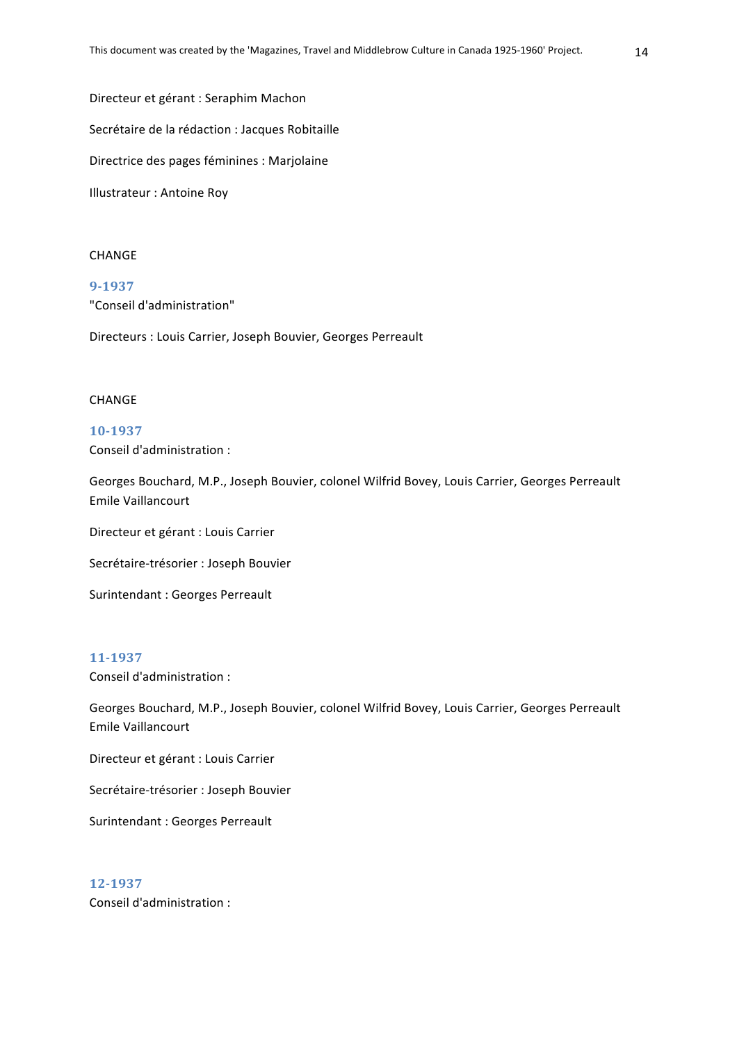Directeur et gérant : Seraphim Machon Secrétaire de la rédaction : Jacques Robitaille Directrice des pages féminines : Marjolaine Illustrateur : Antoine Roy

#### CHANGE

**9-1937** "Conseil d'administration"

Directeurs : Louis Carrier, Joseph Bouvier, Georges Perreault

#### CHANGE

**10-1937** Conseil d'administration :

Georges Bouchard, M.P., Joseph Bouvier, colonel Wilfrid Bovey, Louis Carrier, Georges Perreault Emile Vaillancourt

Directeur et gérant : Louis Carrier

Secrétaire-trésorier : Joseph Bouvier

Surintendant : Georges Perreault

#### **11-1937**

Conseil d'administration :

Georges Bouchard, M.P., Joseph Bouvier, colonel Wilfrid Bovey, Louis Carrier, Georges Perreault Emile Vaillancourt

Directeur et gérant : Louis Carrier

Secrétaire-trésorier : Joseph Bouvier

Surintendant : Georges Perreault

**12-1937** Conseil d'administration :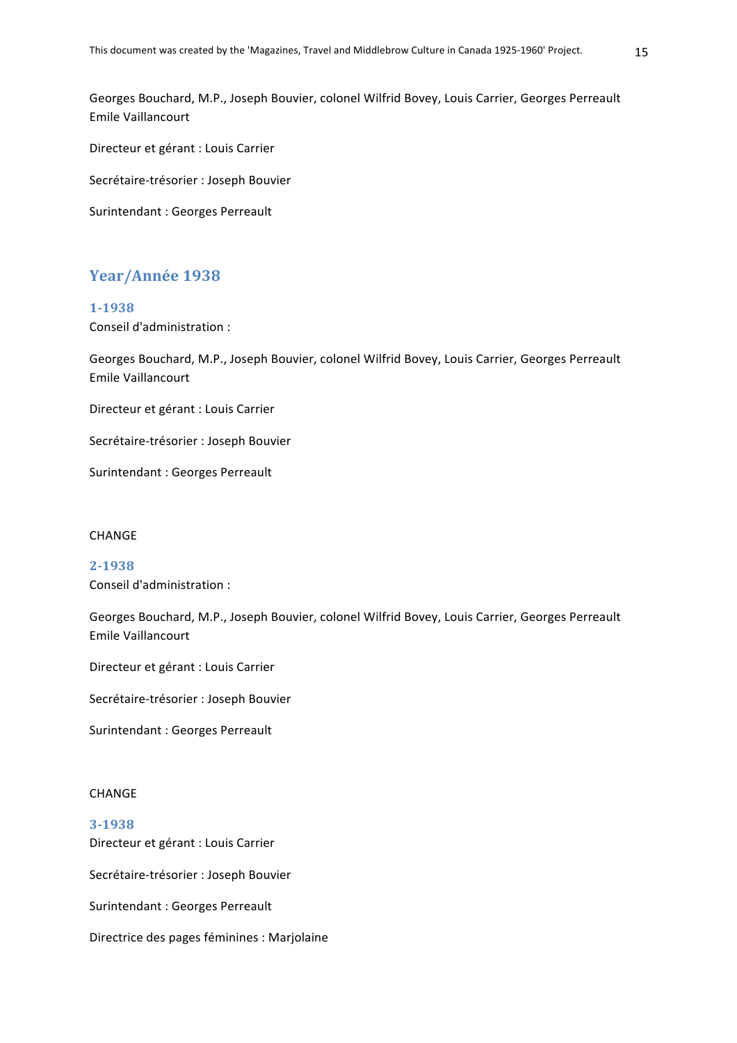Georges Bouchard, M.P., Joseph Bouvier, colonel Wilfrid Bovey, Louis Carrier, Georges Perreault Emile Vaillancourt

Directeur et gérant : Louis Carrier

Secrétaire-trésorier : Joseph Bouvier

Surintendant : Georges Perreault

## Year/Année 1938

#### **1-1938**

Conseil d'administration :

Georges Bouchard, M.P., Joseph Bouvier, colonel Wilfrid Bovey, Louis Carrier, Georges Perreault Emile Vaillancourt

Directeur et gérant : Louis Carrier

Secrétaire-trésorier : Joseph Bouvier

Surintendant : Georges Perreault

#### CHANGE

**2-1938** Conseil d'administration :

Georges Bouchard, M.P., Joseph Bouvier, colonel Wilfrid Bovey, Louis Carrier, Georges Perreault Emile Vaillancourt

Directeur et gérant : Louis Carrier

Secrétaire-trésorier : Joseph Bouvier

Surintendant : Georges Perreault

## CHANGE

## **3-1938** Directeur et gérant : Louis Carrier

Secrétaire-trésorier : Joseph Bouvier

Surintendant : Georges Perreault

Directrice des pages féminines : Marjolaine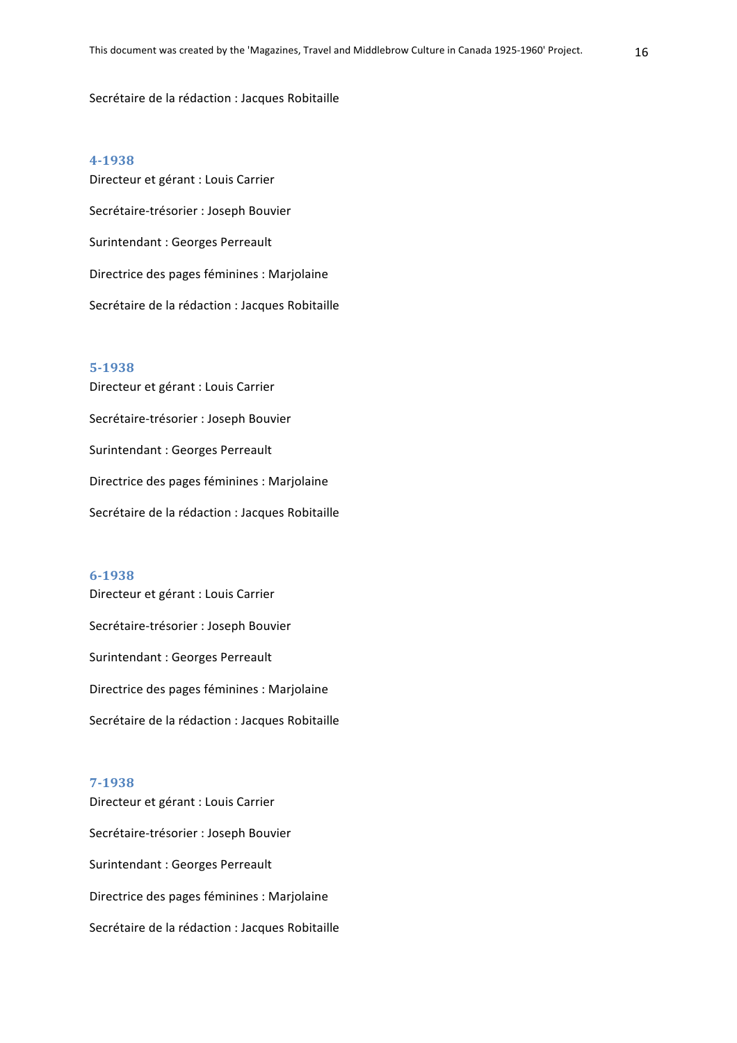#### Secrétaire de la rédaction : Jacques Robitaille

#### **4-1938**

Directeur et gérant : Louis Carrier Secrétaire-trésorier : Joseph Bouvier Surintendant : Georges Perreault Directrice des pages féminines : Marjolaine Secrétaire de la rédaction : Jacques Robitaille

#### **5-1938**

Directeur et gérant : Louis Carrier Secrétaire-trésorier : Joseph Bouvier Surintendant : Georges Perreault Directrice des pages féminines : Marjolaine Secrétaire de la rédaction : Jacques Robitaille

#### **6-1938**

Directeur et gérant : Louis Carrier Secrétaire-trésorier : Joseph Bouvier Surintendant : Georges Perreault Directrice des pages féminines : Marjolaine Secrétaire de la rédaction : Jacques Robitaille

#### **7-1938**

Directeur et gérant : Louis Carrier Secrétaire-trésorier : Joseph Bouvier Surintendant : Georges Perreault Directrice des pages féminines : Marjolaine Secrétaire de la rédaction : Jacques Robitaille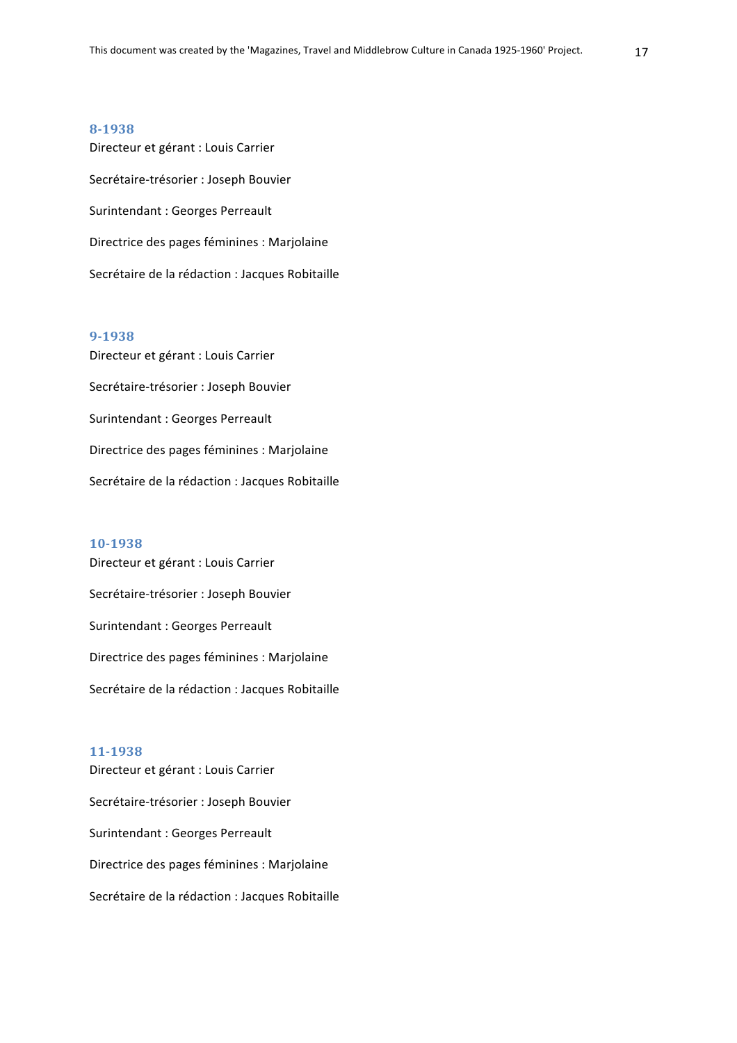Directeur et gérant : Louis Carrier Secrétaire-trésorier : Joseph Bouvier Surintendant : Georges Perreault Directrice des pages féminines : Marjolaine Secrétaire de la rédaction : Jacques Robitaille

#### **9-1938**

Directeur et gérant : Louis Carrier Secrétaire-trésorier : Joseph Bouvier Surintendant : Georges Perreault Directrice des pages féminines : Marjolaine Secrétaire de la rédaction : Jacques Robitaille

#### **10-1938**

Directeur et gérant : Louis Carrier Secrétaire-trésorier : Joseph Bouvier Surintendant : Georges Perreault Directrice des pages féminines : Marjolaine Secrétaire de la rédaction : Jacques Robitaille

## **11-1938**

Directeur et gérant : Louis Carrier Secrétaire-trésorier : Joseph Bouvier Surintendant : Georges Perreault Directrice des pages féminines : Marjolaine Secrétaire de la rédaction : Jacques Robitaille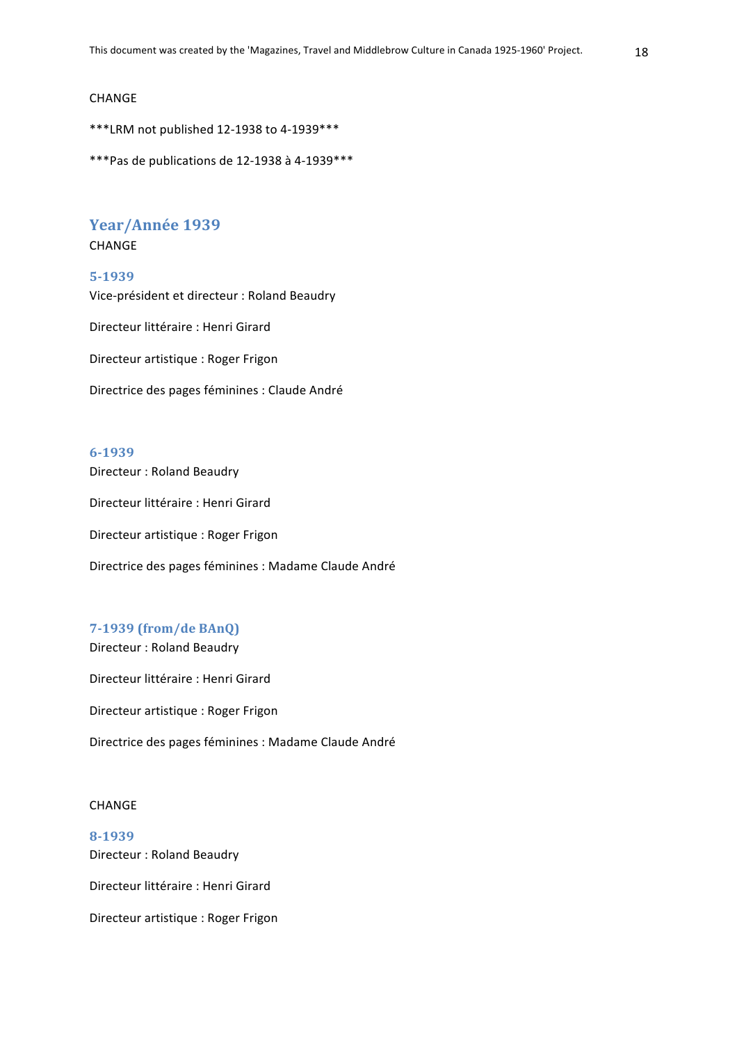#### CHANGE

\*\*\*LRM not published 12-1938 to 4-1939\*\*\*

\*\*\*Pas de publications de 12-1938 à 4-1939 \*\*\*

## Year/Année 1939

#### **CHANGE**

#### **5-1939**

Vice-président et directeur : Roland Beaudry

Directeur littéraire : Henri Girard

Directeur artistique : Roger Frigon

Directrice des pages féminines : Claude André

#### **6-1939**

Directeur : Roland Beaudry

Directeur littéraire : Henri Girard

Directeur artistique : Roger Frigon

Directrice des pages féminines : Madame Claude André

## **7-1939 (from/de BAnQ)**

Directeur : Roland Beaudry

Directeur littéraire : Henri Girard

Directeur artistique : Roger Frigon

Directrice des pages féminines : Madame Claude André

#### CHANGE

## **8-1939** Directeur : Roland Beaudry

Directeur littéraire : Henri Girard

Directeur artistique : Roger Frigon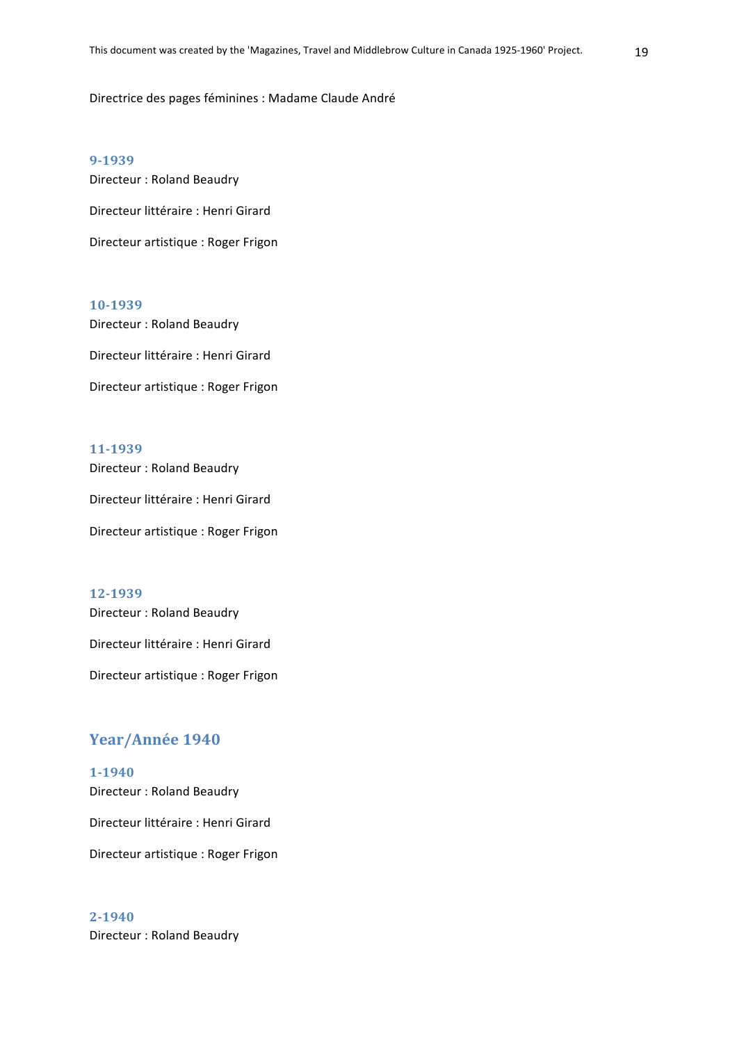Directrice des pages féminines : Madame Claude André

**9-1939**

Directeur : Roland Beaudry

Directeur littéraire : Henri Girard

Directeur artistique : Roger Frigon

#### **10-1939**

Directeur : Roland Beaudry Directeur littéraire : Henri Girard Directeur artistique : Roger Frigon

#### **11-1939**

Directeur : Roland Beaudry

Directeur littéraire : Henri Girard

Directeur artistique : Roger Frigon

## **12-1939**

Directeur : Roland Beaudry

Directeur littéraire : Henri Girard

Directeur artistique : Roger Frigon

## Year/Année 1940

**1-1940** Directeur : Roland Beaudry Directeur littéraire : Henri Girard Directeur artistique : Roger Frigon

## **2-1940**

Directeur : Roland Beaudry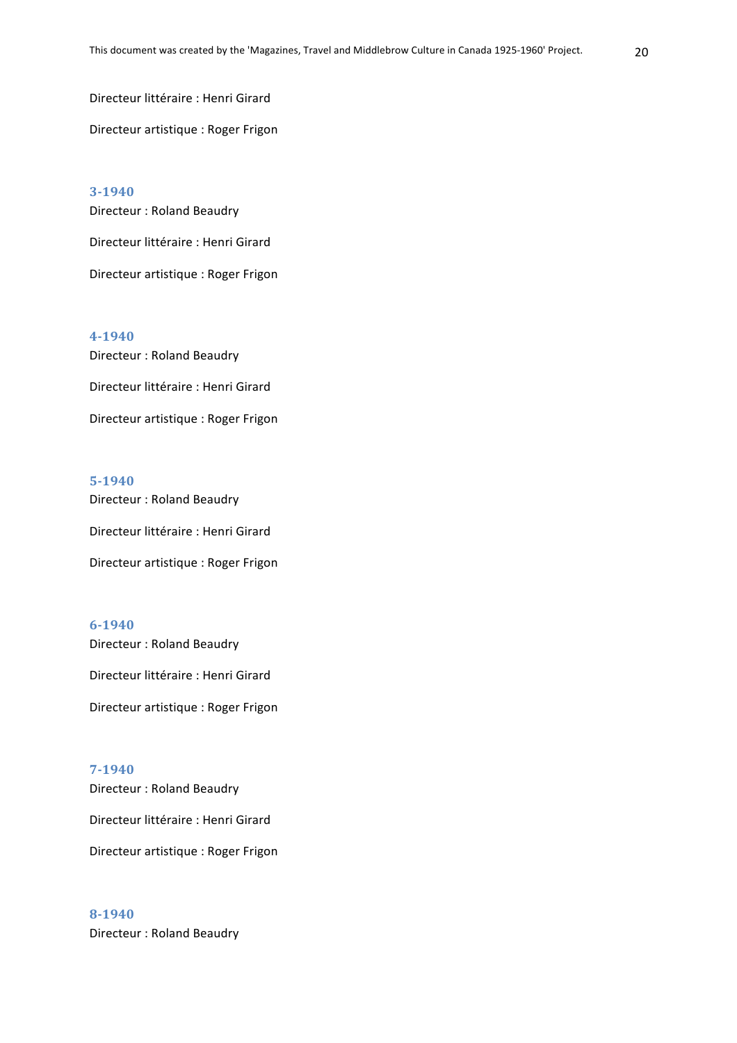Directeur littéraire : Henri Girard Directeur artistique : Roger Frigon

**3-1940** Directeur : Roland Beaudry Directeur littéraire : Henri Girard Directeur artistique : Roger Frigon

**4-1940** Directeur : Roland Beaudry Directeur littéraire : Henri Girard Directeur artistique : Roger Frigon

## **5-1940** Directeur : Roland Beaudry Directeur littéraire : Henri Girard Directeur artistique : Roger Frigon

## **6-1940** Directeur : Roland Beaudry

Directeur littéraire : Henri Girard

Directeur artistique : Roger Frigon

**7-1940** Directeur : Roland Beaudry Directeur littéraire : Henri Girard Directeur artistique : Roger Frigon

## **8-1940** Directeur : Roland Beaudry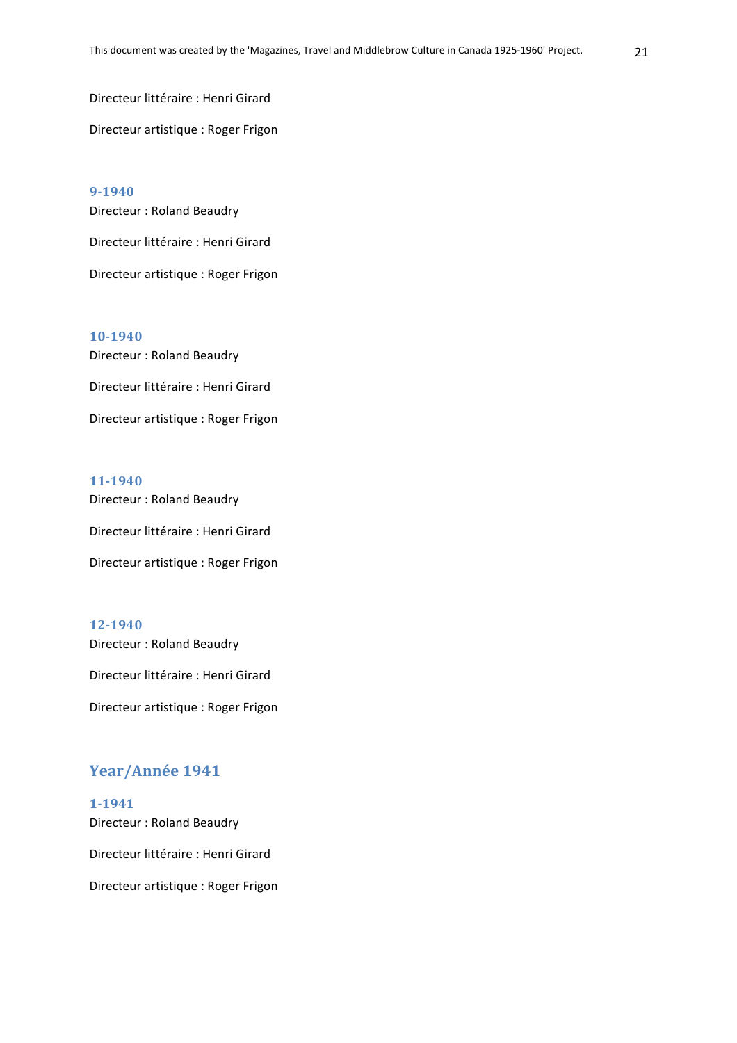Directeur littéraire : Henri Girard Directeur artistique : Roger Frigon

**9-1940** Directeur : Roland Beaudry Directeur littéraire : Henri Girard Directeur artistique : Roger Frigon

**10-1940** Directeur : Roland Beaudry Directeur littéraire : Henri Girard Directeur artistique : Roger Frigon

## **11-1940** Directeur : Roland Beaudry Directeur littéraire : Henri Girard Directeur artistique : Roger Frigon

## **12-1940** Directeur : Roland Beaudry Directeur littéraire : Henri Girard Directeur artistique : Roger Frigon

## Year/Année 1941

**1-1941** Directeur : Roland Beaudry Directeur littéraire : Henri Girard Directeur artistique : Roger Frigon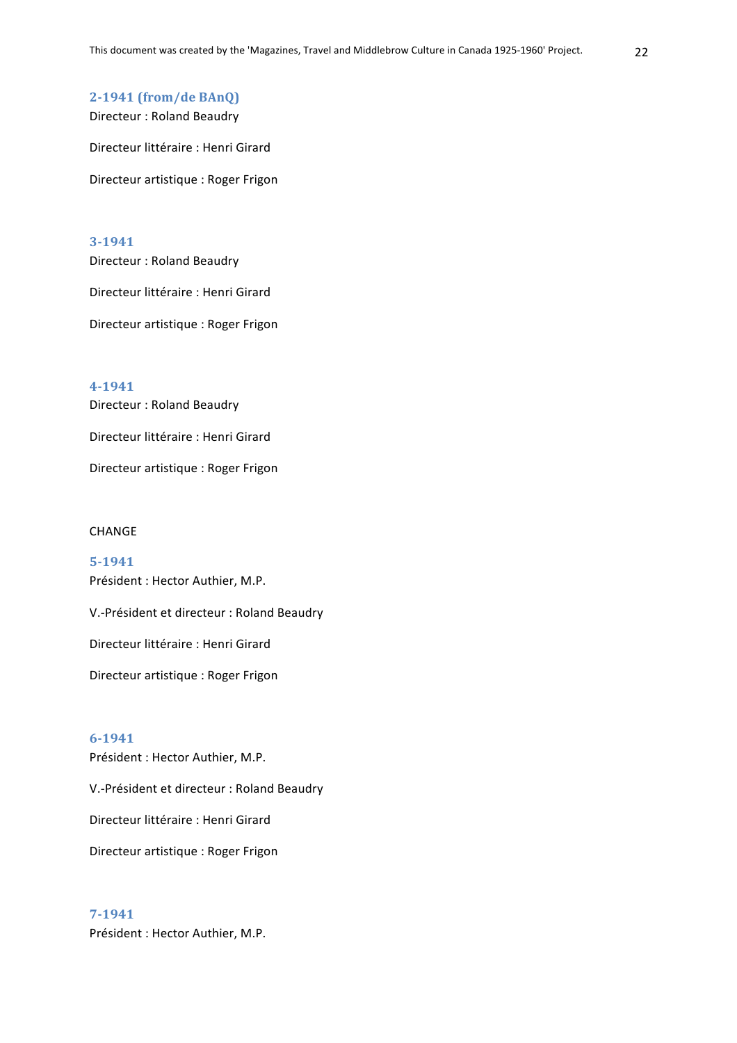#### **2-1941 (from/de BAnQ)**

Directeur : Roland Beaudry

Directeur littéraire : Henri Girard

Directeur artistique : Roger Frigon

#### **3-1941**

Directeur : Roland Beaudry Directeur littéraire : Henri Girard Directeur artistique : Roger Frigon

**4-1941** Directeur : Roland Beaudry Directeur littéraire : Henri Girard Directeur artistique : Roger Frigon

#### CHANGE

**5-1941** Président : Hector Authier, M.P. V.-Président et directeur : Roland Beaudry Directeur littéraire : Henri Girard Directeur artistique : Roger Frigon

## **6-1941**

V.-Président et directeur : Roland Beaudry Directeur littéraire : Henri Girard Directeur artistique : Roger Frigon

## **7-1941**

Président : Hector Authier, M.P.

Président : Hector Authier, M.P.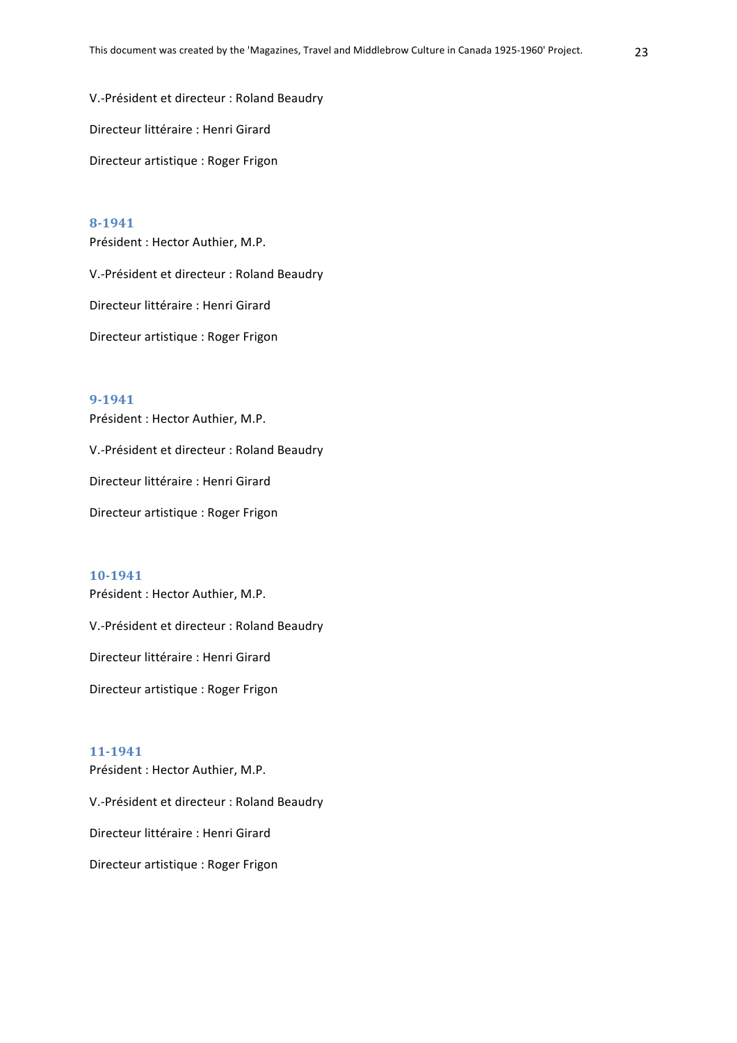V.-Président et directeur : Roland Beaudry Directeur littéraire : Henri Girard Directeur artistique : Roger Frigon

## **8-1941**

Président : Hector Authier, M.P. V.-Président et directeur : Roland Beaudry Directeur littéraire : Henri Girard

Directeur artistique : Roger Frigon

## **9-1941**

Président : Hector Authier, M.P. V.-Président et directeur : Roland Beaudry

Directeur littéraire : Henri Girard

Directeur artistique : Roger Frigon

#### **10-1941**

Président : Hector Authier, M.P.

V.-Président et directeur : Roland Beaudry

Directeur littéraire : Henri Girard

Directeur artistique : Roger Frigon

## **11-1941**

Président : Hector Authier, M.P.

V.-Président et directeur : Roland Beaudry

Directeur littéraire : Henri Girard

Directeur artistique : Roger Frigon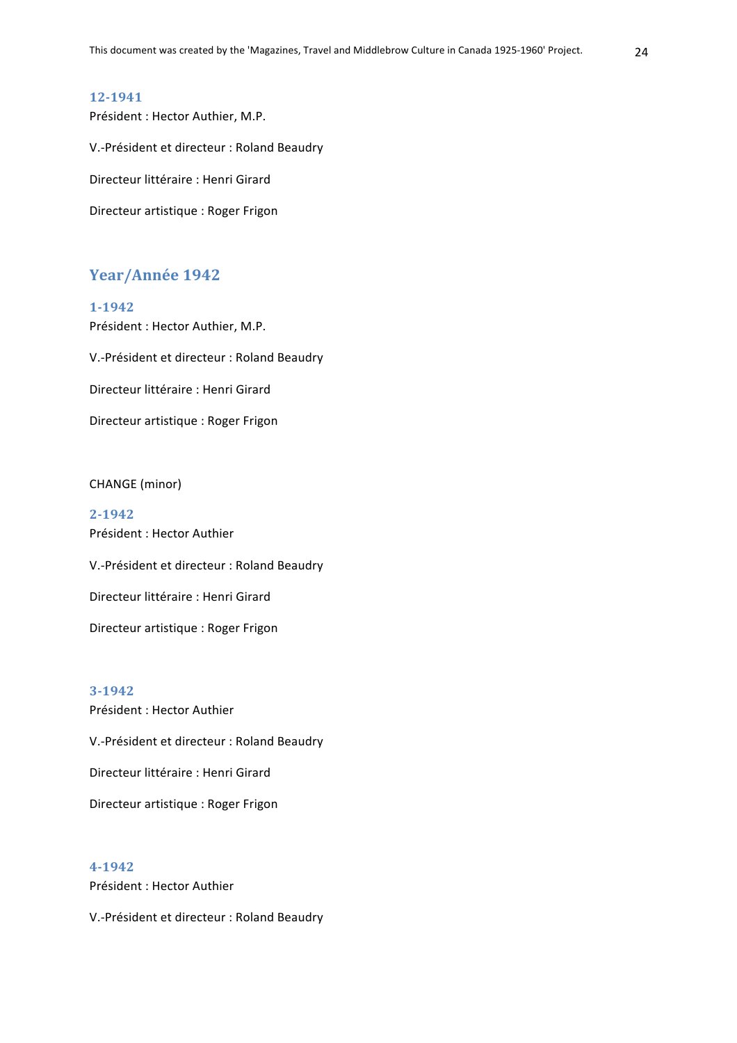Président : Hector Authier, M.P. V.-Président et directeur : Roland Beaudry Directeur littéraire : Henri Girard Directeur artistique : Roger Frigon

## Year/Année 1942

Président : Hector Authier, M.P.

**1-1942**

V.-Président et directeur : Roland Beaudry Directeur littéraire : Henri Girard Directeur artistique : Roger Frigon

CHANGE (minor)

**2-1942** Président : Hector Authier V.-Président et directeur : Roland Beaudry Directeur littéraire : Henri Girard Directeur artistique : Roger Frigon

**3-1942** Président : Hector Authier V.-Président et directeur : Roland Beaudry Directeur littéraire : Henri Girard Directeur artistique : Roger Frigon

**4-1942** Président : Hector Authier

V.-Président et directeur : Roland Beaudry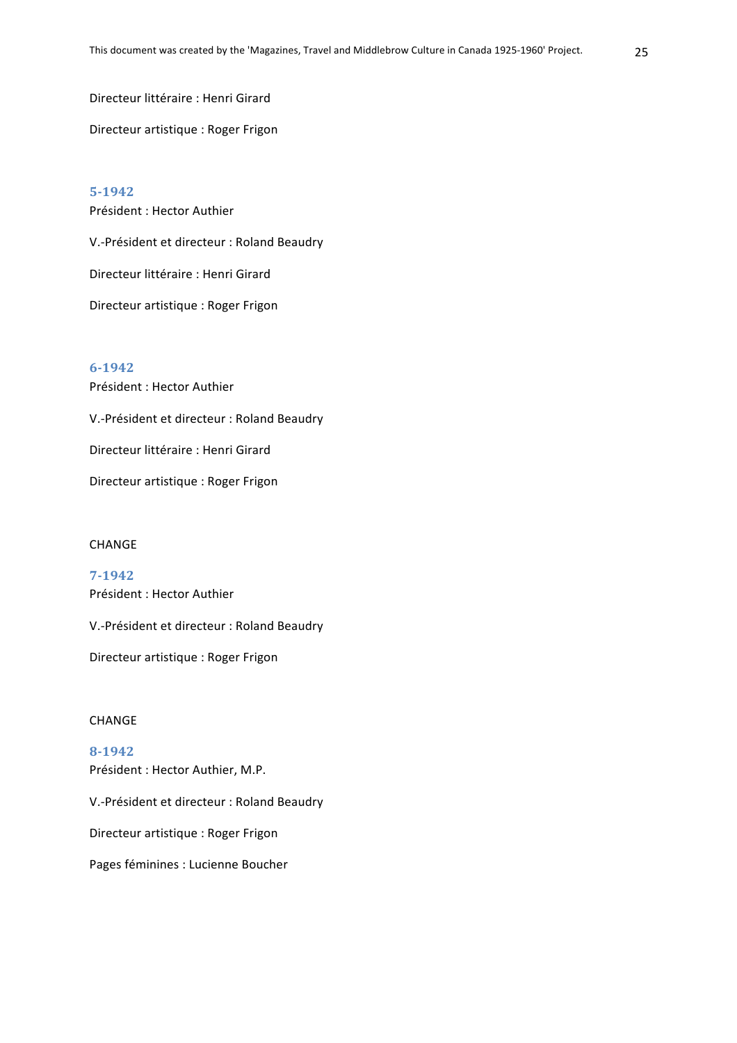Directeur littéraire : Henri Girard

Directeur artistique : Roger Frigon

**5-1942** Président : Hector Authier V.-Président et directeur : Roland Beaudry Directeur littéraire : Henri Girard Directeur artistique : Roger Frigon

**6-1942** Président : Hector Authier V.-Président et directeur : Roland Beaudry Directeur littéraire : Henri Girard Directeur artistique : Roger Frigon

#### CHANGE

**7-1942** Président : Hector Authier V.-Président et directeur : Roland Beaudry

Directeur artistique : Roger Frigon

#### CHANGE

**8-1942** Président : Hector Authier, M.P. V.-Président et directeur : Roland Beaudry Directeur artistique : Roger Frigon Pages féminines : Lucienne Boucher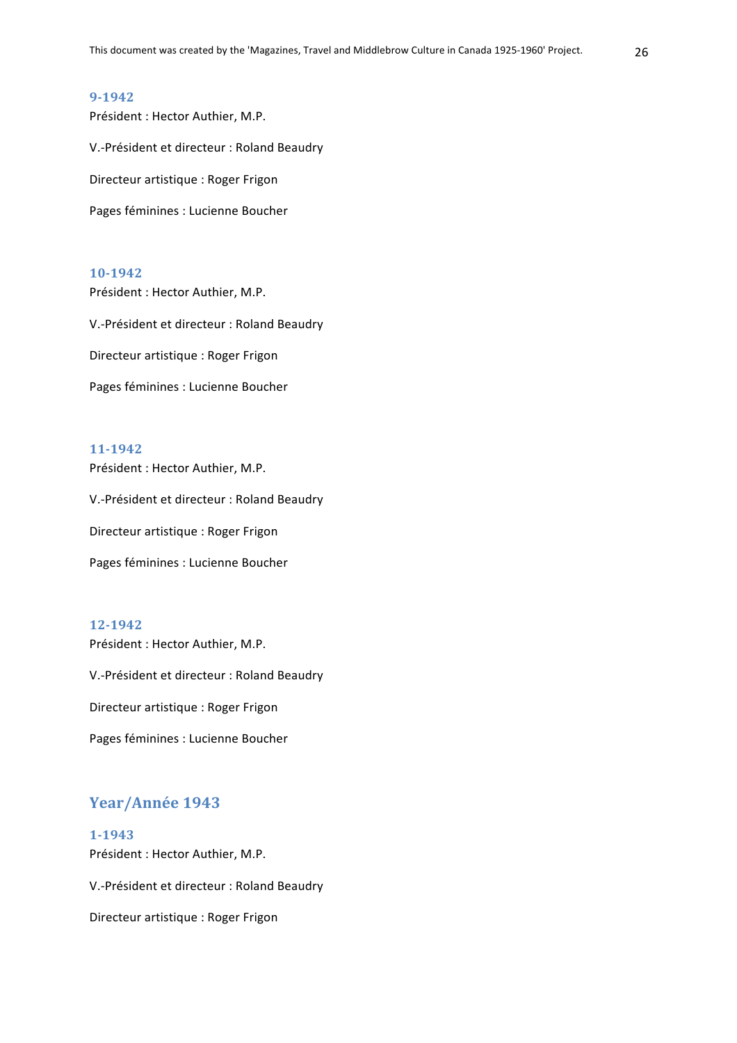Président : Hector Authier, M.P. V.-Président et directeur : Roland Beaudry Directeur artistique : Roger Frigon Pages féminines : Lucienne Boucher

#### **10-1942**

Président : Hector Authier, M.P. V.-Président et directeur : Roland Beaudry Directeur artistique : Roger Frigon Pages féminines : Lucienne Boucher

#### **11-1942**

Président : Hector Authier, M.P. V.-Président et directeur : Roland Beaudry

Directeur artistique : Roger Frigon

Pages féminines : Lucienne Boucher

#### **12-1942**

Président : Hector Authier, M.P.

V.-Président et directeur : Roland Beaudry

Directeur artistique : Roger Frigon

Pages féminines : Lucienne Boucher

## Year/Année 1943

**1-1943** Président : Hector Authier, M.P.

V.-Président et directeur : Roland Beaudry

Directeur artistique : Roger Frigon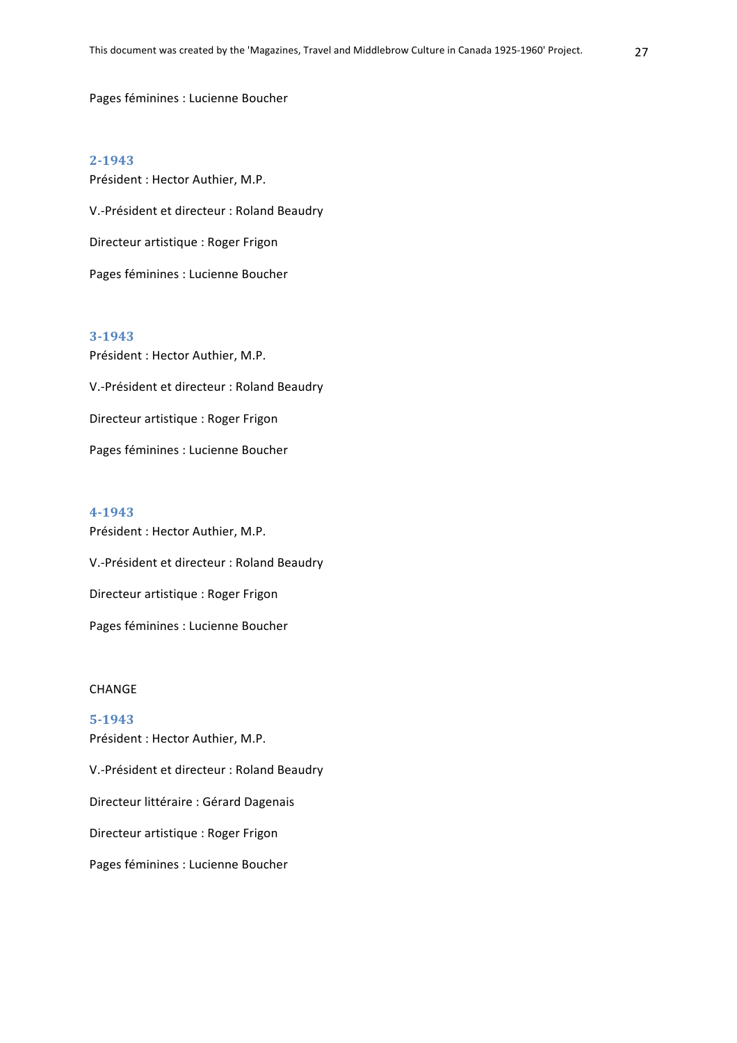Pages féminines : Lucienne Boucher

#### **2-1943**

Président : Hector Authier, M.P. V.-Président et directeur : Roland Beaudry Directeur artistique : Roger Frigon Pages féminines : Lucienne Boucher

#### **3-1943**

Président : Hector Authier, M.P. V.-Président et directeur : Roland Beaudry Directeur artistique : Roger Frigon Pages féminines : Lucienne Boucher

#### **4-1943**

Président : Hector Authier, M.P. V.-Président et directeur : Roland Beaudry Directeur artistique : Roger Frigon Pages féminines : Lucienne Boucher

#### **CHANGF**

## **5-1943** Président : Hector Authier, M.P.

V.-Président et directeur : Roland Beaudry Directeur littéraire : Gérard Dagenais Directeur artistique : Roger Frigon Pages féminines : Lucienne Boucher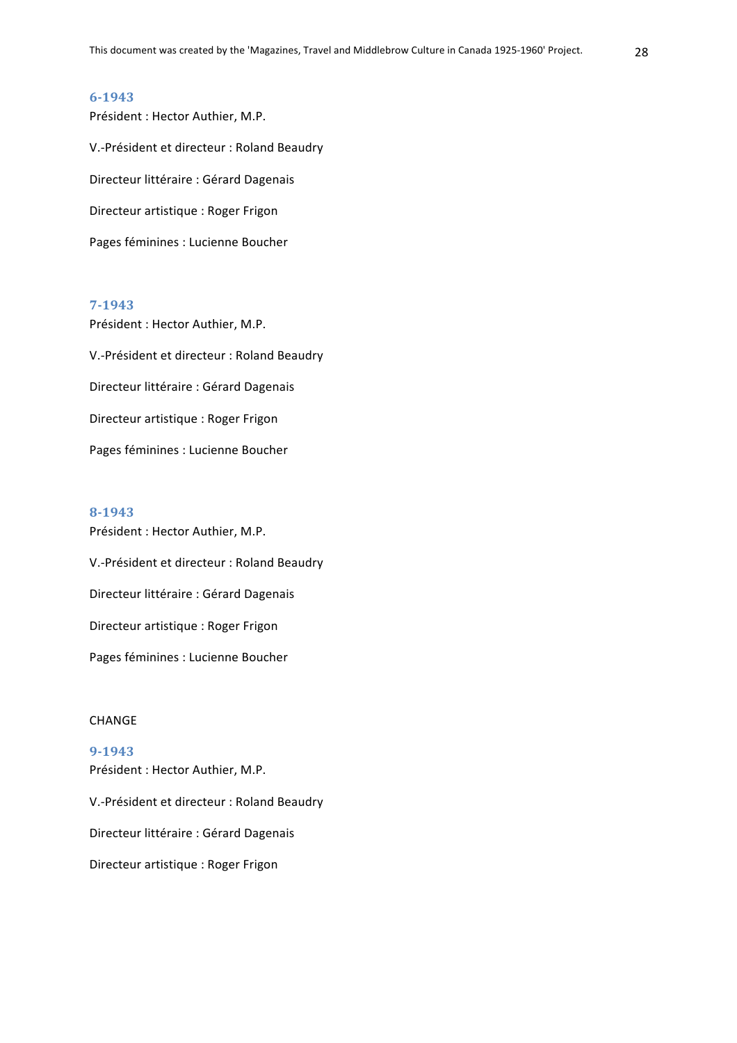Président : Hector Authier, M.P. V.-Président et directeur : Roland Beaudry Directeur littéraire : Gérard Dagenais Directeur artistique : Roger Frigon Pages féminines : Lucienne Boucher

## **7-1943**

Président : Hector Authier, M.P. V.-Président et directeur : Roland Beaudry Directeur littéraire : Gérard Dagenais Directeur artistique : Roger Frigon Pages féminines : Lucienne Boucher

#### **8-1943**

Président : Hector Authier, M.P. V.-Président et directeur : Roland Beaudry Directeur littéraire : Gérard Dagenais Directeur artistique : Roger Frigon Pages féminines : Lucienne Boucher

#### CHANGE

#### **9-1943**

Président : Hector Authier, M.P. V.-Président et directeur : Roland Beaudry Directeur littéraire : Gérard Dagenais Directeur artistique : Roger Frigon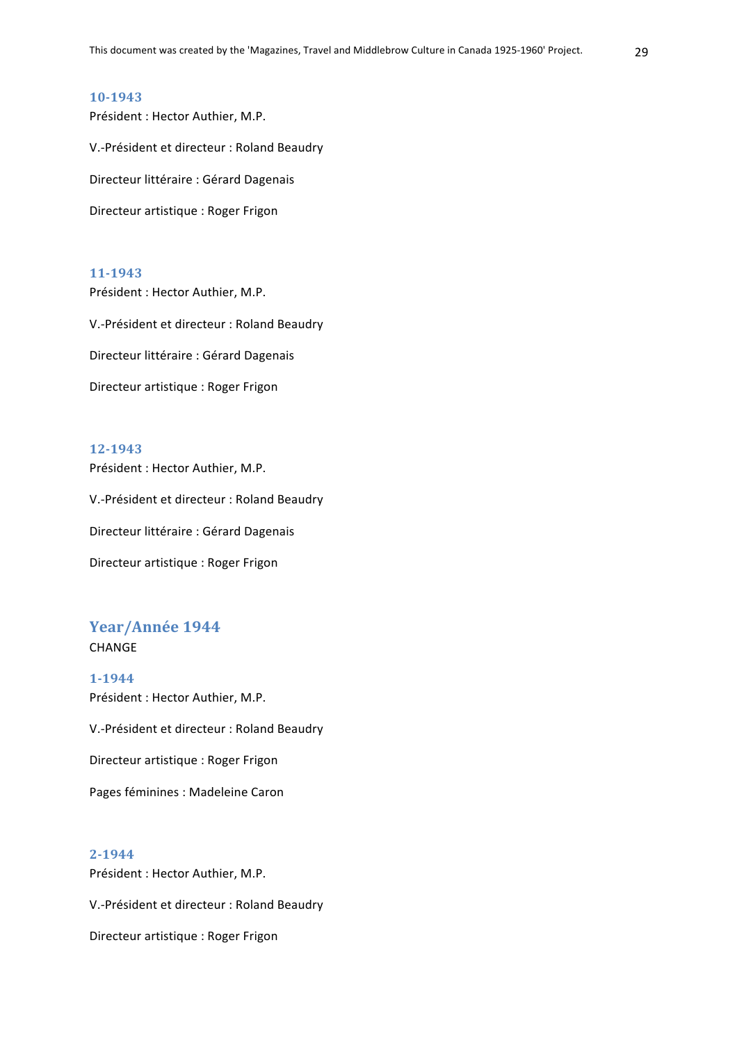Président : Hector Authier, M.P. V.-Président et directeur : Roland Beaudry Directeur littéraire : Gérard Dagenais Directeur artistique : Roger Frigon

#### **11-1943**

Président : Hector Authier, M.P. V.-Président et directeur : Roland Beaudry Directeur littéraire : Gérard Dagenais Directeur artistique : Roger Frigon

#### **12-1943**

Président : Hector Authier, M.P. V.-Président et directeur : Roland Beaudry Directeur littéraire : Gérard Dagenais

Directeur artistique : Roger Frigon

## Year/Année 1944 **CHANGE**

**1-1944** Président : Hector Authier, M.P. V.-Président et directeur : Roland Beaudry Directeur artistique : Roger Frigon Pages féminines : Madeleine Caron

#### **2-1944**

Président : Hector Authier, M.P. V.-Président et directeur : Roland Beaudry

Directeur artistique : Roger Frigon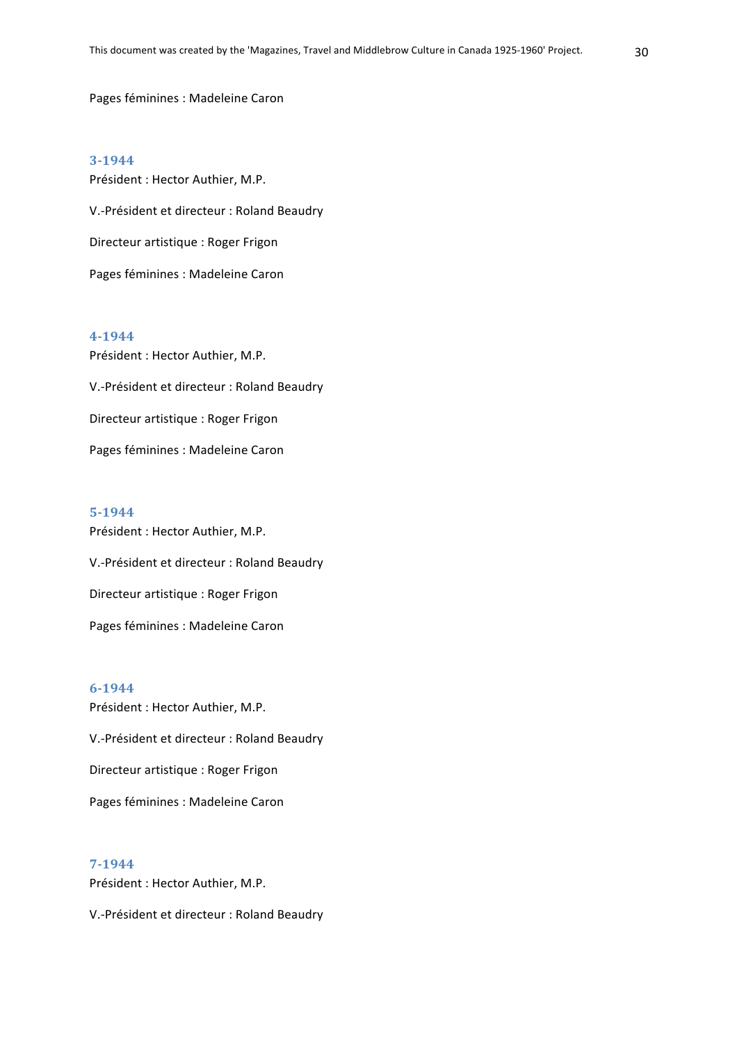Pages féminines : Madeleine Caron

#### **3-1944**

Président : Hector Authier, M.P. V.-Président et directeur : Roland Beaudry Directeur artistique : Roger Frigon Pages féminines : Madeleine Caron

## **4-1944**

Président : Hector Authier, M.P. V.-Président et directeur : Roland Beaudry Directeur artistique : Roger Frigon Pages féminines : Madeleine Caron

#### **5-1944**

Président : Hector Authier, M.P. V.-Président et directeur : Roland Beaudry Directeur artistique : Roger Frigon Pages féminines : Madeleine Caron

#### **6-1944**

Président : Hector Authier, M.P. V.-Président et directeur : Roland Beaudry Directeur artistique : Roger Frigon Pages féminines : Madeleine Caron

## **7-1944**

Président : Hector Authier, M.P.

V.-Président et directeur : Roland Beaudry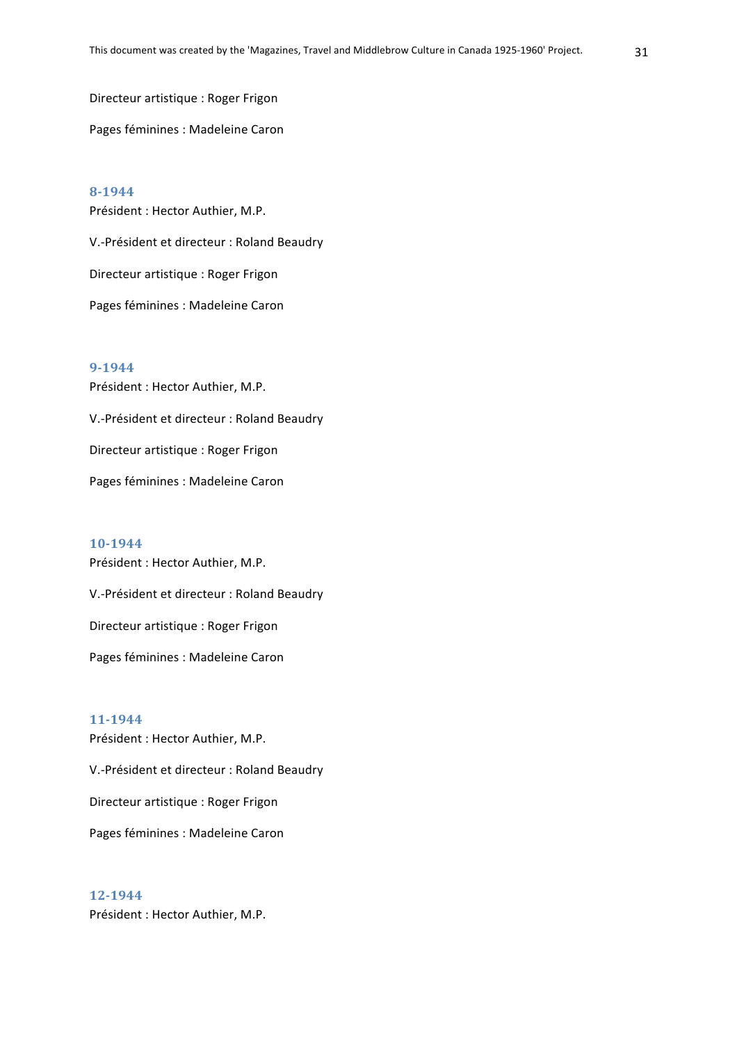Directeur artistique : Roger Frigon

Pages féminines : Madeleine Caron

**8-1944** Président : Hector Authier, M.P. V.-Président et directeur : Roland Beaudry Directeur artistique : Roger Frigon Pages féminines : Madeleine Caron

## **9-1944** Président : Hector Authier, M.P. V.-Président et directeur : Roland Beaudry Directeur artistique : Roger Frigon Pages féminines : Madeleine Caron

**10-1944** Président : Hector Authier, M.P. V.-Président et directeur : Roland Beaudry Directeur artistique : Roger Frigon Pages féminines : Madeleine Caron

## **11-1944**

Président : Hector Authier, M.P. V.-Président et directeur : Roland Beaudry Directeur artistique : Roger Frigon Pages féminines : Madeleine Caron

**12-1944** Président : Hector Authier, M.P.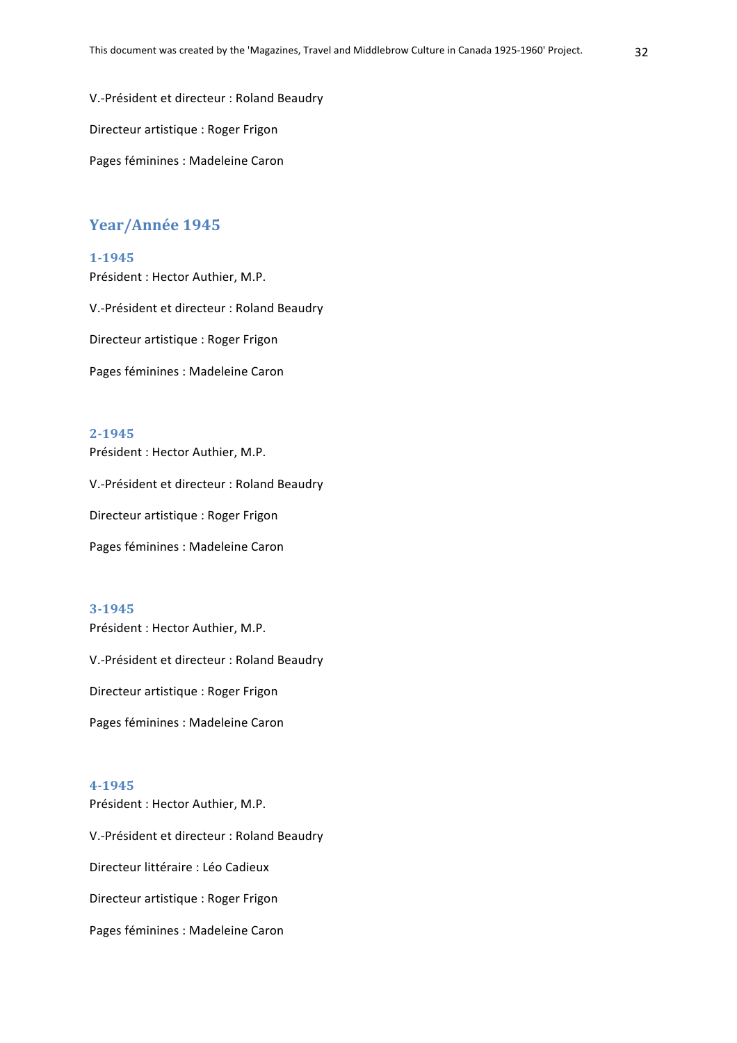V.-Président et directeur : Roland Beaudry

Directeur artistique : Roger Frigon

Pages féminines : Madeleine Caron

## Year/Année 1945

#### **1-1945**

Président : Hector Authier, M.P.

V.-Président et directeur : Roland Beaudry

Directeur artistique : Roger Frigon

Pages féminines : Madeleine Caron

## **2-1945**

Président : Hector Authier, M.P.

V.-Président et directeur : Roland Beaudry

Directeur artistique : Roger Frigon

Pages féminines : Madeleine Caron

#### **3-1945**

Président : Hector Authier, M.P. V.-Président et directeur : Roland Beaudry Directeur artistique : Roger Frigon Pages féminines : Madeleine Caron

#### **4-1945**

Président : Hector Authier, M.P. V.-Président et directeur : Roland Beaudry Directeur littéraire : Léo Cadieux Directeur artistique : Roger Frigon Pages féminines : Madeleine Caron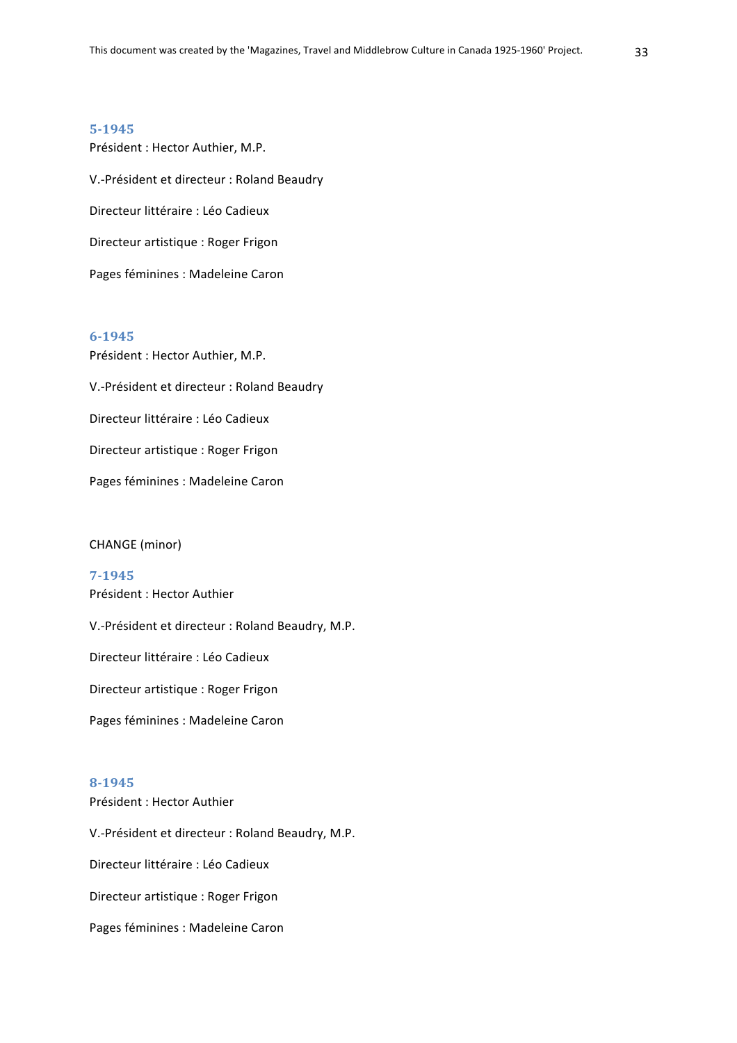Président : Hector Authier, M.P. V.-Président et directeur : Roland Beaudry Directeur littéraire : Léo Cadieux Directeur artistique : Roger Frigon Pages féminines : Madeleine Caron

#### **6-1945**

Président : Hector Authier, M.P. V.-Président et directeur : Roland Beaudry Directeur littéraire : Léo Cadieux Directeur artistique : Roger Frigon Pages féminines : Madeleine Caron

#### CHANGE (minor)

**7-1945** Président : Hector Authier V.-Président et directeur : Roland Beaudry, M.P. Directeur littéraire : Léo Cadieux Directeur artistique : Roger Frigon Pages féminines : Madeleine Caron

#### **8-1945**

Président : Hector Authier V.-Président et directeur : Roland Beaudry, M.P. Directeur littéraire : Léo Cadieux Directeur artistique : Roger Frigon Pages féminines : Madeleine Caron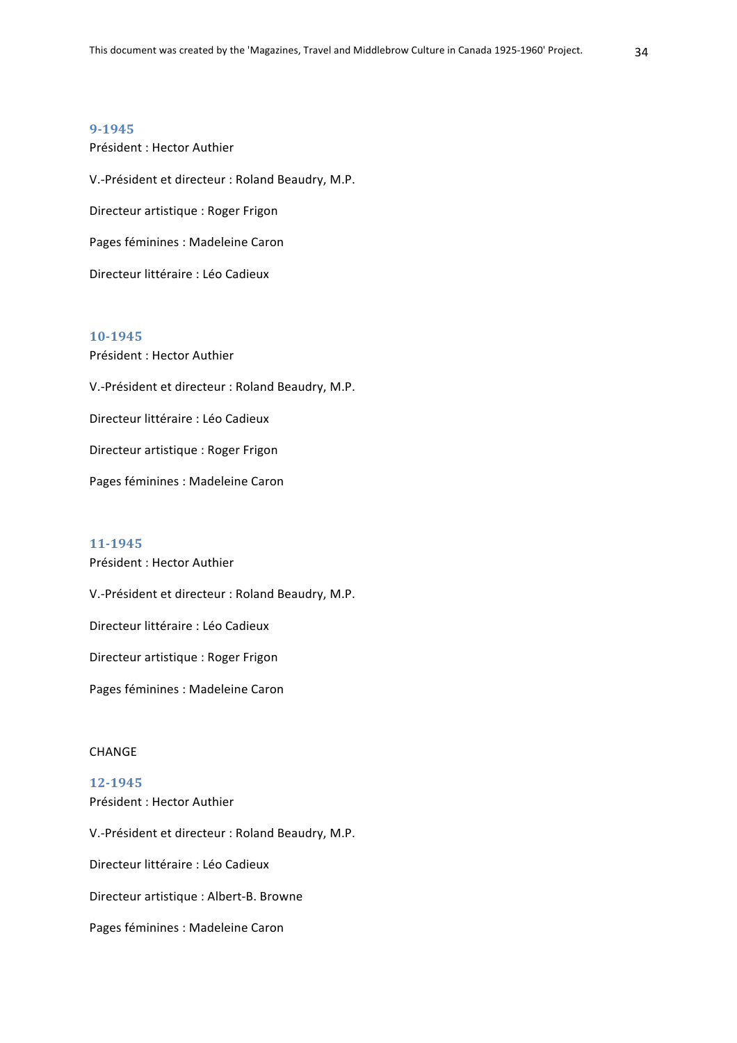Président : Hector Authier V.-Président et directeur : Roland Beaudry, M.P. Directeur artistique : Roger Frigon Pages féminines : Madeleine Caron Directeur littéraire : Léo Cadieux

#### **10-1945**

Président : Hector Authier V.-Président et directeur : Roland Beaudry, M.P. Directeur littéraire : Léo Cadieux Directeur artistique : Roger Frigon Pages féminines : Madeleine Caron

#### **11-1945**

Président : Hector Authier V.-Président et directeur : Roland Beaudry, M.P. Directeur littéraire : Léo Cadieux Directeur artistique : Roger Frigon Pages féminines : Madeleine Caron

## **CHANGE**

## **12-1945**

Président : Hector Authier

V.-Président et directeur : Roland Beaudry, M.P. Directeur littéraire : Léo Cadieux Directeur artistique : Albert-B. Browne Pages féminines : Madeleine Caron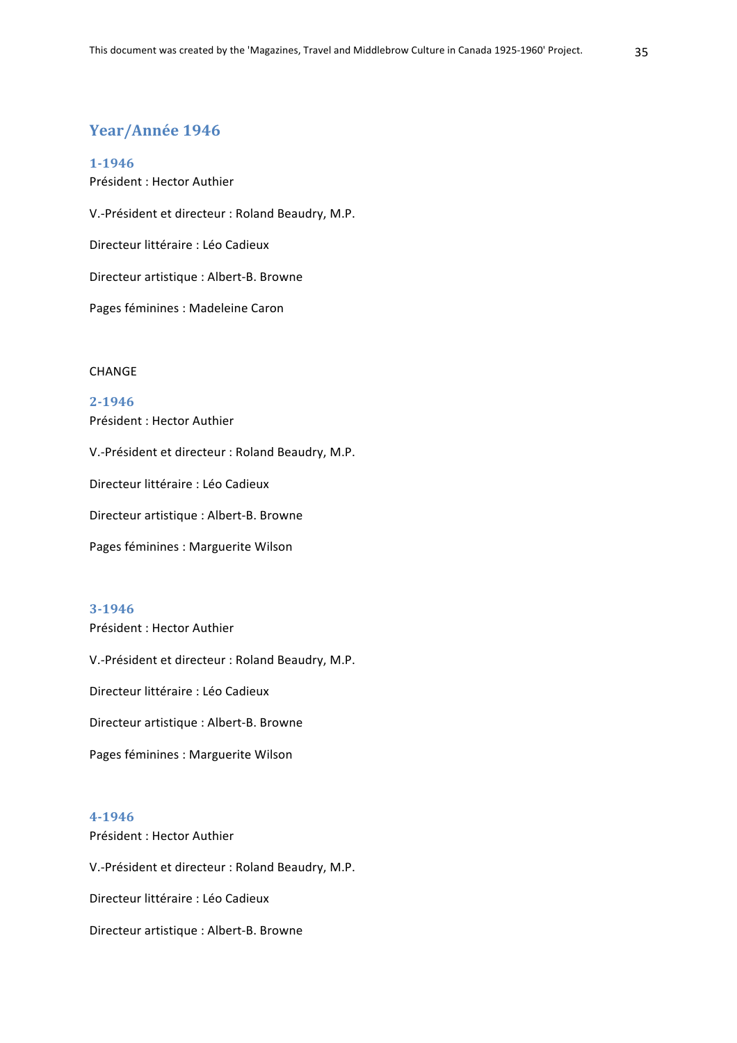## Year/Année 1946

**1-1946** Président : Hector Authier V.-Président et directeur : Roland Beaudry, M.P. Directeur littéraire : Léo Cadieux Directeur artistique : Albert-B. Browne Pages féminines : Madeleine Caron

#### CHANGE

## **2-1946** Président : Hector Authier

V.-Président et directeur : Roland Beaudry, M.P. Directeur littéraire : Léo Cadieux Directeur artistique : Albert-B. Browne

Pages féminines : Marguerite Wilson

## **3-1946**

Président : Hector Authier V.-Président et directeur : Roland Beaudry, M.P. Directeur littéraire : Léo Cadieux Directeur artistique : Albert-B. Browne Pages féminines : Marguerite Wilson

#### **4-1946**

Président : Hector Authier V.-Président et directeur : Roland Beaudry, M.P. Directeur littéraire : Léo Cadieux Directeur artistique : Albert-B. Browne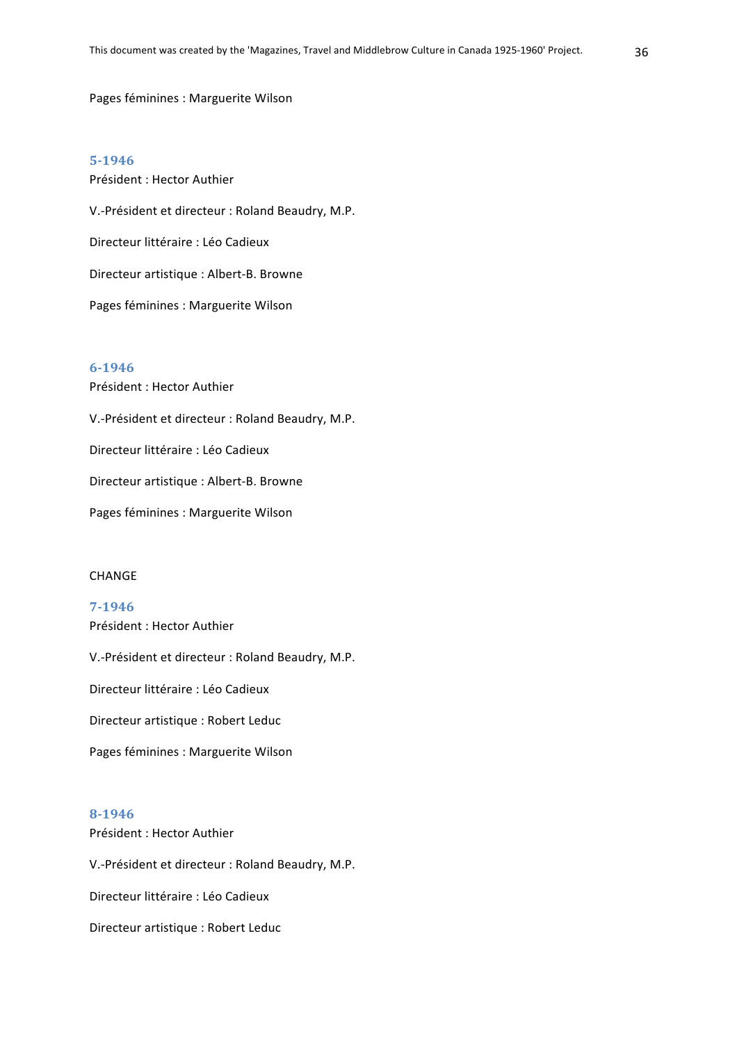#### Pages féminines : Marguerite Wilson

#### **5-1946**

Président : Hector Authier V.-Président et directeur : Roland Beaudry, M.P. Directeur littéraire : Léo Cadieux Directeur artistique : Albert-B. Browne Pages féminines : Marguerite Wilson

#### **6-1946**

Président : Hector Authier V.-Président et directeur : Roland Beaudry, M.P. Directeur littéraire : Léo Cadieux Directeur artistique : Albert-B. Browne Pages féminines : Marguerite Wilson

#### **CHANGE**

**7-1946** Président : Hector Authier

V.-Président et directeur : Roland Beaudry, M.P.

Directeur littéraire : Léo Cadieux

Directeur artistique : Robert Leduc

Pages féminines : Marguerite Wilson

#### **8-1946**

Président : Hector Authier

V.-Président et directeur : Roland Beaudry, M.P.

Directeur littéraire : Léo Cadieux

Directeur artistique : Robert Leduc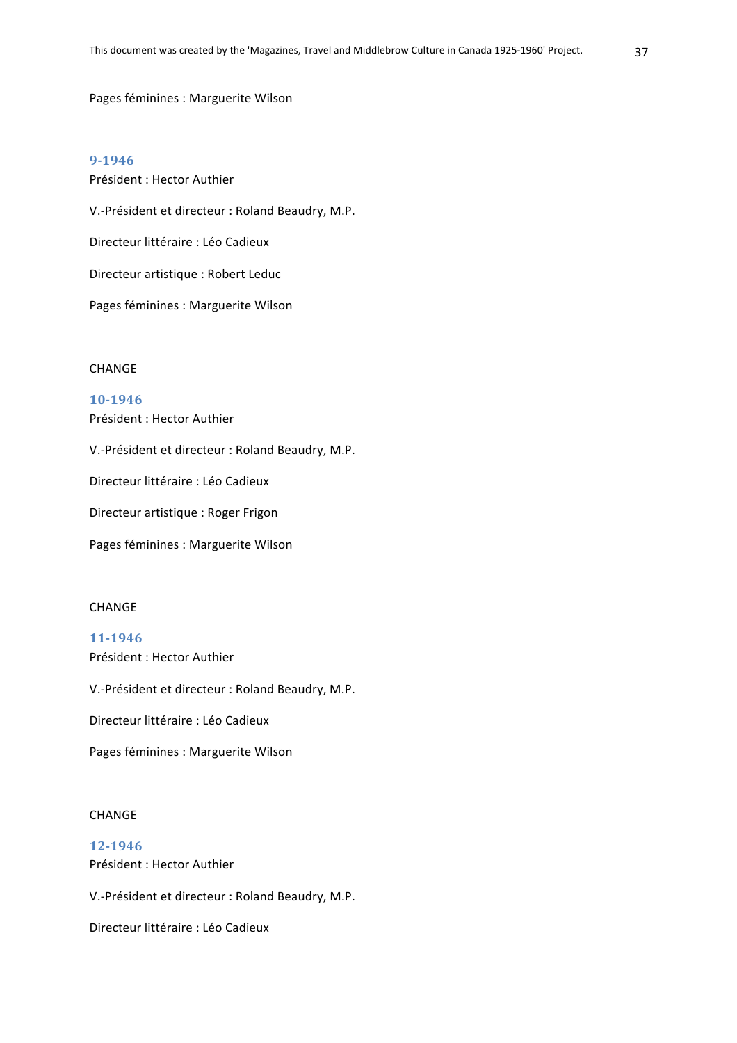#### Pages féminines : Marguerite Wilson

#### **9-1946**

Président : Hector Authier V.-Président et directeur : Roland Beaudry, M.P. Directeur littéraire : Léo Cadieux Directeur artistique : Robert Leduc Pages féminines : Marguerite Wilson

#### CHANGE

#### **10-1946**

Président : Hector Authier

V.-Président et directeur : Roland Beaudry, M.P.

Directeur littéraire : Léo Cadieux

Directeur artistique : Roger Frigon

Pages féminines : Marguerite Wilson

#### CHANGE

#### **11-1946**

Président : Hector Authier

V.-Président et directeur : Roland Beaudry, M.P.

Directeur littéraire : Léo Cadieux

Pages féminines : Marguerite Wilson

#### CHANGE

## **12-1946** Président : Hector Authier

V.-Président et directeur : Roland Beaudry, M.P.

Directeur littéraire : Léo Cadieux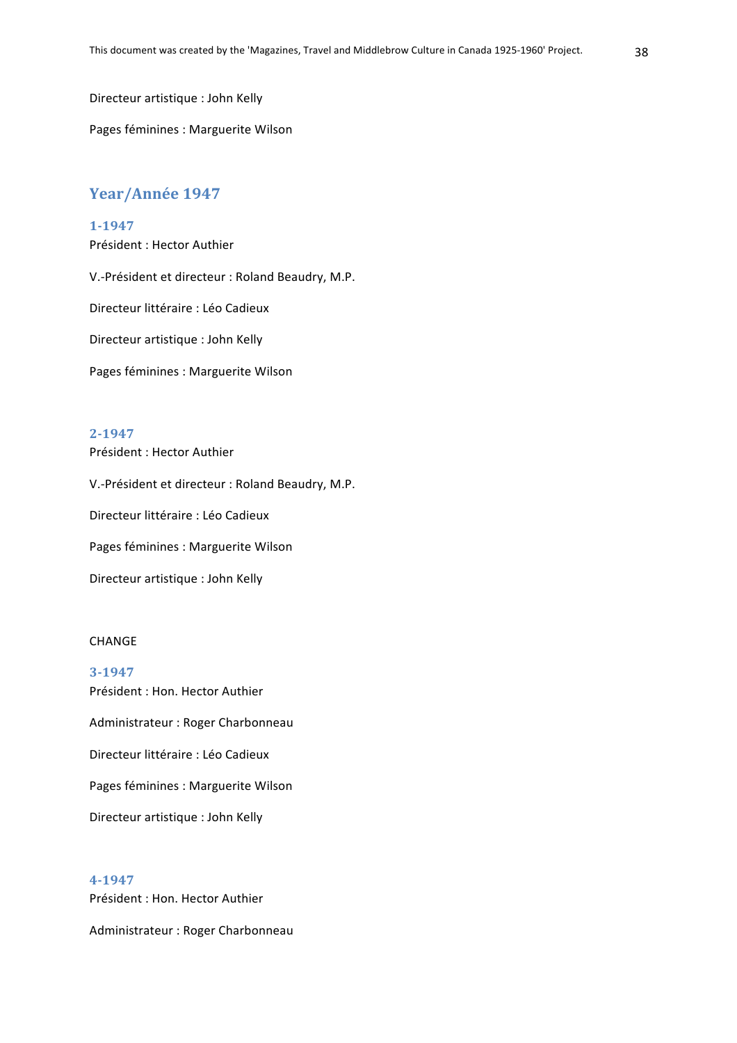Directeur artistique : John Kelly

Pages féminines : Marguerite Wilson

## Year/Année 1947

## **1-1947**

Président : Hector Authier V.-Président et directeur : Roland Beaudry, M.P. Directeur littéraire : Léo Cadieux Directeur artistique : John Kelly Pages féminines : Marguerite Wilson

## **2-1947**

Président : Hector Authier

V.-Président et directeur : Roland Beaudry, M.P.

Directeur littéraire : Léo Cadieux

Pages féminines : Marguerite Wilson

Directeur artistique : John Kelly

#### CHANGE

**3-1947** Président : Hon. Hector Authier Administrateur : Roger Charbonneau Directeur littéraire : Léo Cadieux Pages féminines : Marguerite Wilson Directeur artistique : John Kelly

#### **4-1947**

Président : Hon. Hector Authier Administrateur : Roger Charbonneau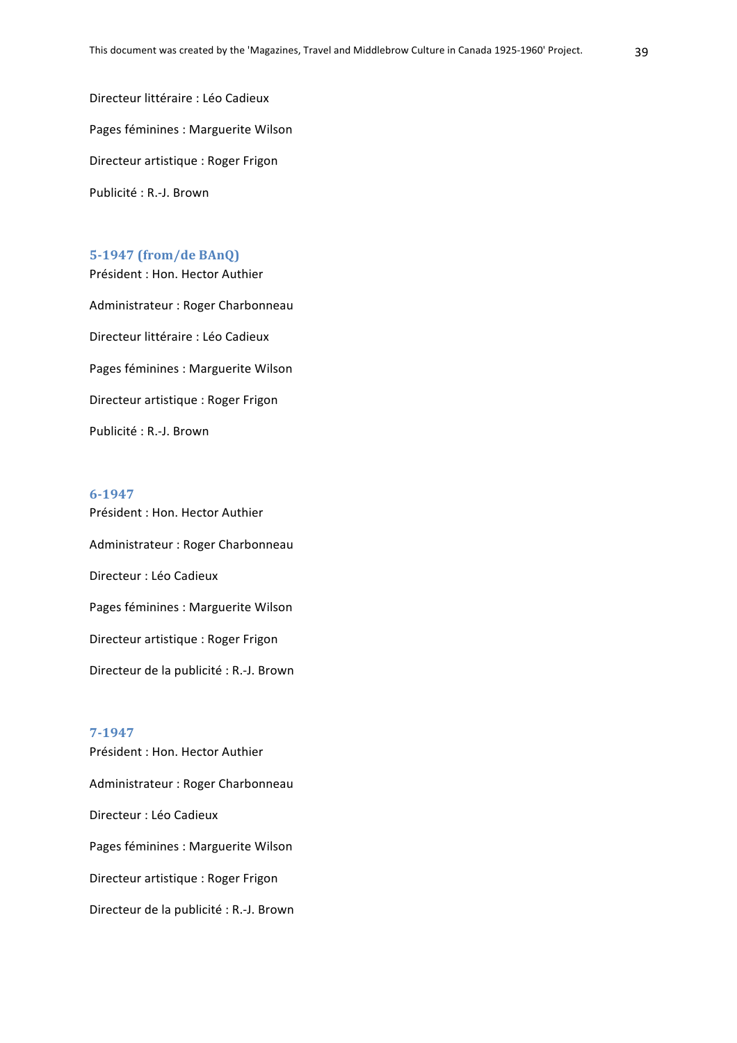Directeur littéraire : Léo Cadieux Pages féminines : Marguerite Wilson Directeur artistique : Roger Frigon Publicité : R.-J. Brown

## **5-1947 (from/de BAnQ)**

Président : Hon. Hector Authier Administrateur : Roger Charbonneau Directeur littéraire : Léo Cadieux Pages féminines : Marguerite Wilson Directeur artistique : Roger Frigon Publicité : R.-J. Brown

#### **6-1947**

Président : Hon. Hector Authier Administrateur : Roger Charbonneau Directeur : Léo Cadieux Pages féminines : Marguerite Wilson Directeur artistique : Roger Frigon Directeur de la publicité : R.-J. Brown

#### **7-1947**

Président : Hon. Hector Authier Administrateur : Roger Charbonneau Directeur : Léo Cadieux Pages féminines : Marguerite Wilson Directeur artistique : Roger Frigon Directeur de la publicité : R.-J. Brown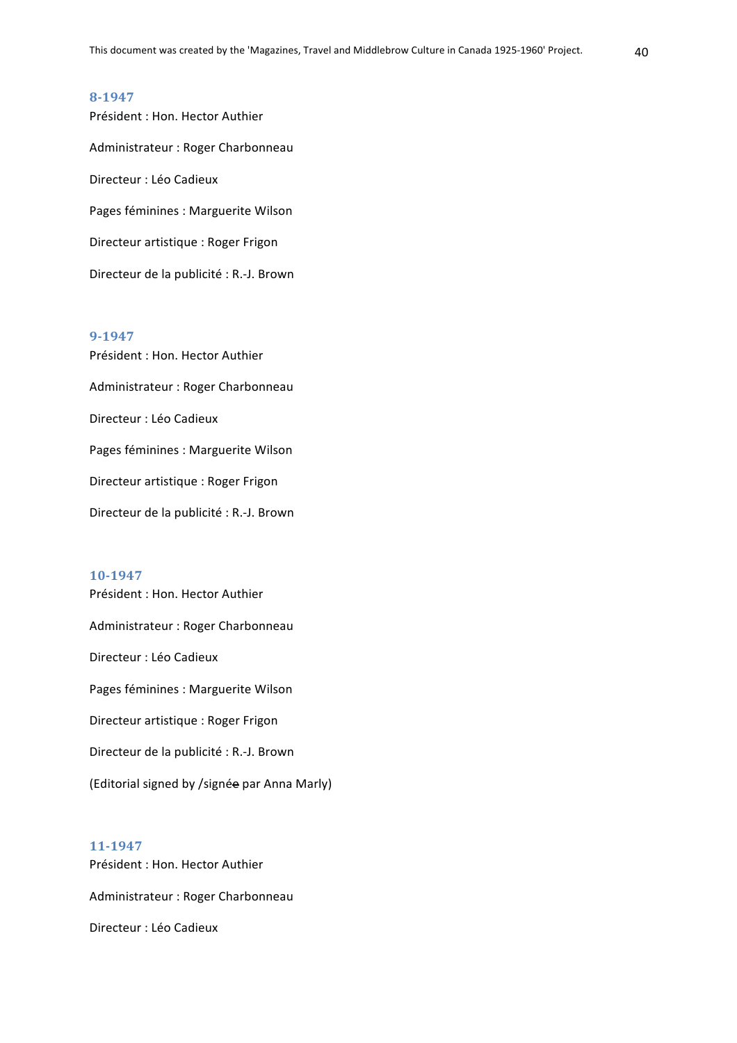Président : Hon. Hector Authier Administrateur : Roger Charbonneau Directeur : Léo Cadieux Pages féminines : Marguerite Wilson Directeur artistique : Roger Frigon Directeur de la publicité : R.-J. Brown

#### **9-1947**

Président : Hon. Hector Authier Administrateur : Roger Charbonneau Directeur : Léo Cadieux Pages féminines : Marguerite Wilson Directeur artistique : Roger Frigon Directeur de la publicité : R.-J. Brown

#### **10-1947**

Président : Hon. Hector Authier Administrateur : Roger Charbonneau Directeur : Léo Cadieux Pages féminines : Marguerite Wilson Directeur artistique : Roger Frigon Directeur de la publicité : R.-J. Brown (Editorial signed by /signée par Anna Marly)

## **11-1947**

Président : Hon. Hector Authier Administrateur : Roger Charbonneau Directeur : Léo Cadieux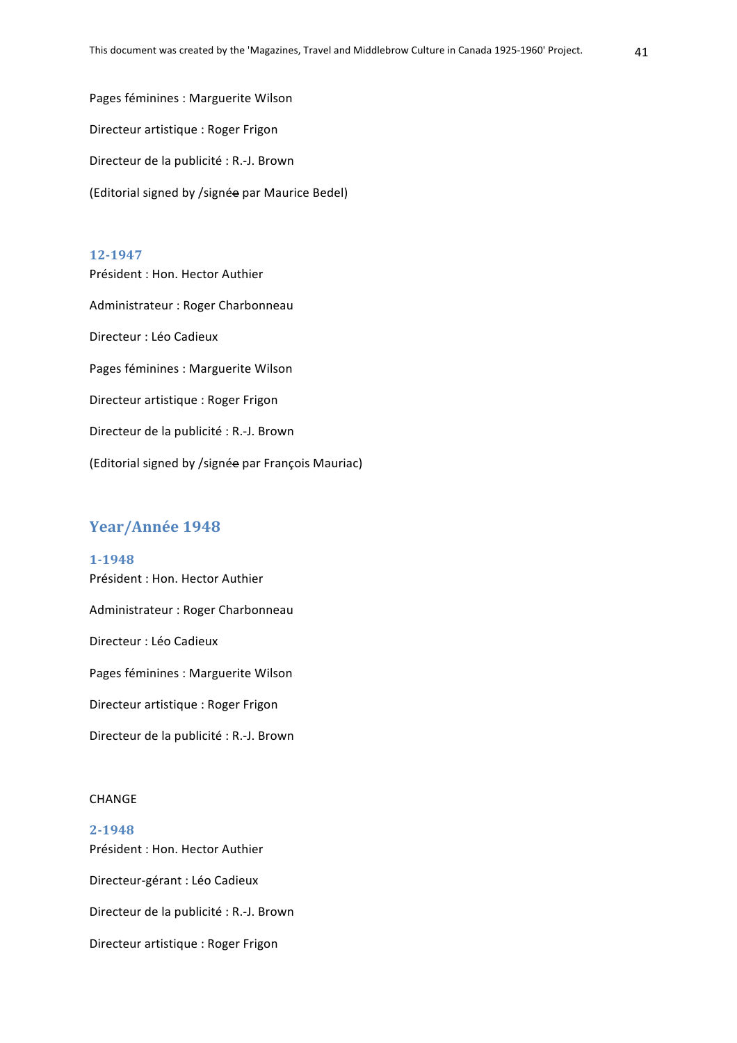Pages féminines : Marguerite Wilson Directeur artistique : Roger Frigon Directeur de la publicité : R.-J. Brown (Editorial signed by /signée par Maurice Bedel)

#### **12-1947**

Président : Hon. Hector Authier Administrateur : Roger Charbonneau Directeur : Léo Cadieux Pages féminines : Marguerite Wilson Directeur artistique : Roger Frigon Directeur de la publicité : R.-J. Brown (Editorial signed by /signée par François Mauriac)

## Year/Année 1948

**1-1948** Président : Hon. Hector Authier Administrateur : Roger Charbonneau Directeur : Léo Cadieux Pages féminines : Marguerite Wilson Directeur artistique : Roger Frigon Directeur de la publicité : R.-J. Brown

#### CHANGE

**2-1948** Président : Hon. Hector Authier Directeur-gérant : Léo Cadieux Directeur de la publicité : R.-J. Brown Directeur artistique : Roger Frigon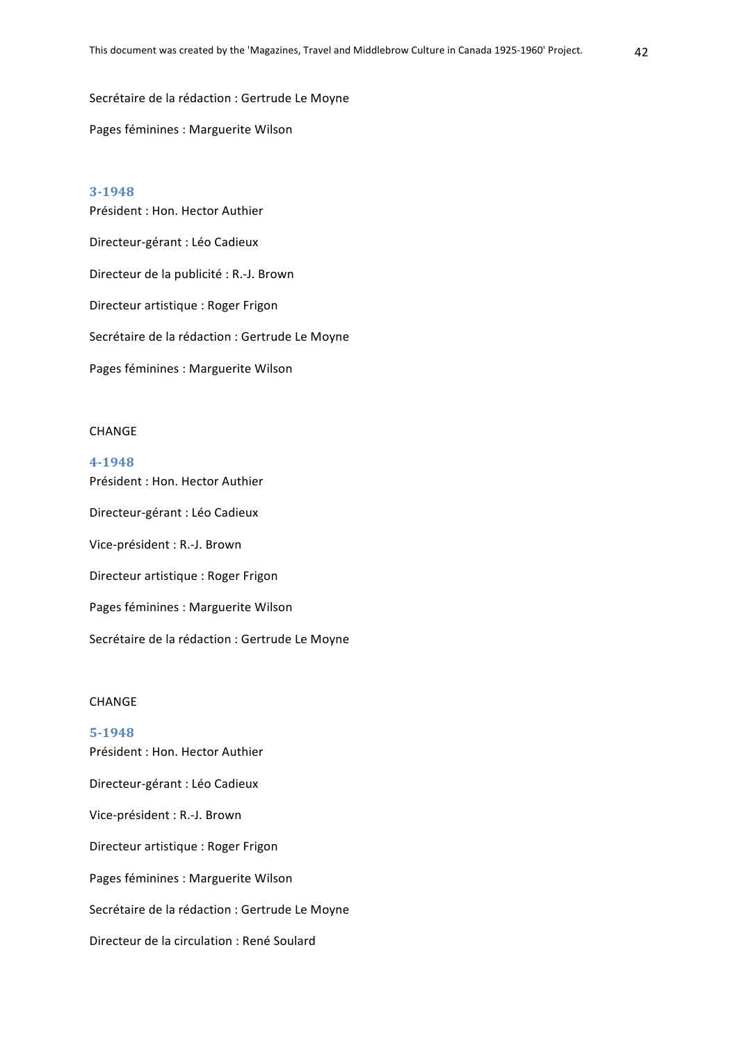Secrétaire de la rédaction : Gertrude Le Moyne

Pages féminines : Marguerite Wilson

#### **3-1948**

Président : Hon. Hector Authier Directeur-gérant : Léo Cadieux Directeur de la publicité : R.-J. Brown Directeur artistique : Roger Frigon Secrétaire de la rédaction : Gertrude Le Moyne Pages féminines : Marguerite Wilson

#### **CHANGE**

#### **4-1948**

Président : Hon. Hector Authier Directeur-gérant : Léo Cadieux Vice-président : R.-J. Brown Directeur artistique : Roger Frigon Pages féminines : Marguerite Wilson Secrétaire de la rédaction : Gertrude Le Moyne

#### CHANGE

**5-1948** Président : Hon. Hector Authier Directeur-gérant : Léo Cadieux Vice-président : R.-J. Brown Directeur artistique : Roger Frigon Pages féminines : Marguerite Wilson Secrétaire de la rédaction : Gertrude Le Moyne Directeur de la circulation : René Soulard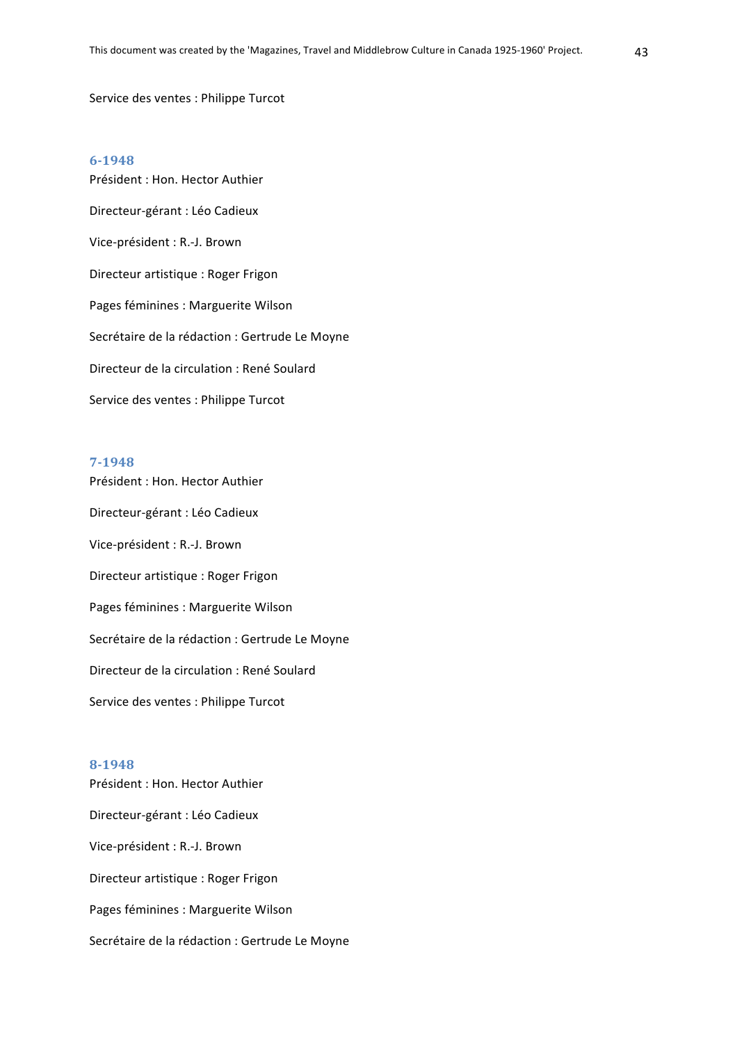#### Service des ventes : Philippe Turcot

#### **6-1948**

Président : Hon. Hector Authier Directeur-gérant : Léo Cadieux Vice-président : R.-J. Brown Directeur artistique : Roger Frigon Pages féminines : Marguerite Wilson Secrétaire de la rédaction : Gertrude Le Moyne Directeur de la circulation : René Soulard Service des ventes : Philippe Turcot

#### **7-1948**

Président : Hon. Hector Authier Directeur-gérant : Léo Cadieux Vice-président : R.-J. Brown Directeur artistique : Roger Frigon Pages féminines : Marguerite Wilson Secrétaire de la rédaction : Gertrude Le Moyne Directeur de la circulation : René Soulard Service des ventes : Philippe Turcot

#### **8-1948**

Président : Hon. Hector Authier Directeur-gérant : Léo Cadieux Vice-président : R.-J. Brown Directeur artistique : Roger Frigon Pages féminines : Marguerite Wilson Secrétaire de la rédaction : Gertrude Le Moyne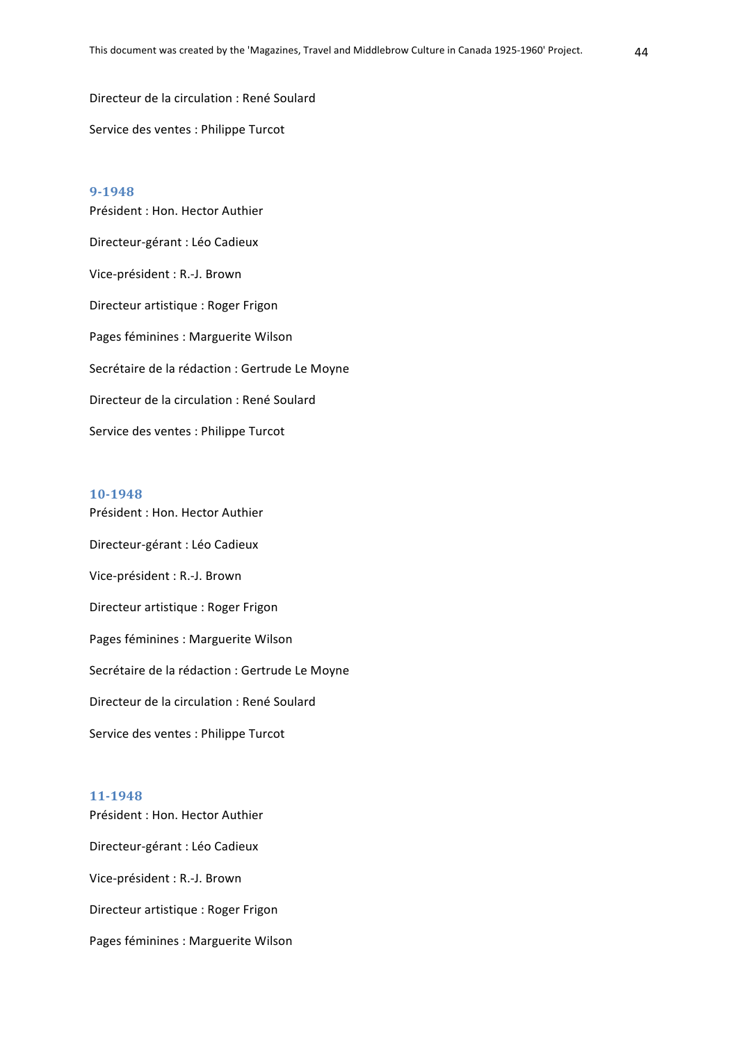Directeur de la circulation : René Soulard Service des ventes : Philippe Turcot

#### **9-1948**

Président : Hon. Hector Authier Directeur-gérant : Léo Cadieux Vice-président : R.-J. Brown Directeur artistique : Roger Frigon Pages féminines : Marguerite Wilson Secrétaire de la rédaction : Gertrude Le Moyne Directeur de la circulation : René Soulard Service des ventes : Philippe Turcot

#### **10-1948**

Président : Hon. Hector Authier Directeur-gérant : Léo Cadieux Vice-président : R.-J. Brown Directeur artistique : Roger Frigon Pages féminines : Marguerite Wilson Secrétaire de la rédaction : Gertrude Le Moyne Directeur de la circulation : René Soulard Service des ventes : Philippe Turcot

#### **11-1948**

Président : Hon. Hector Authier Directeur-gérant : Léo Cadieux Vice-président : R.-J. Brown Directeur artistique : Roger Frigon Pages féminines : Marguerite Wilson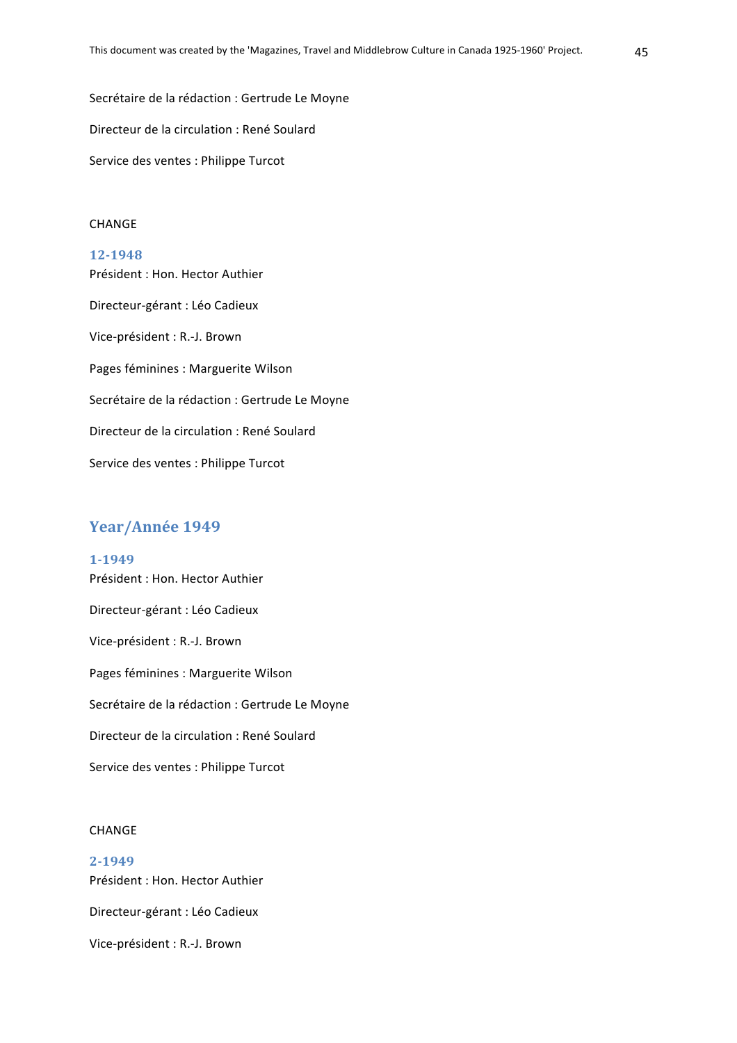Secrétaire de la rédaction : Gertrude Le Moyne Directeur de la circulation : René Soulard Service des ventes : Philippe Turcot

## CHANGE

**12-1948** Président : Hon. Hector Authier Directeur-gérant : Léo Cadieux Vice-président : R.-J. Brown Pages féminines : Marguerite Wilson Secrétaire de la rédaction : Gertrude Le Moyne Directeur de la circulation : René Soulard Service des ventes : Philippe Turcot

## Year/Année 1949

**1-1949** Président : Hon. Hector Authier Directeur-gérant : Léo Cadieux Vice-président : R.-J. Brown Pages féminines : Marguerite Wilson Secrétaire de la rédaction : Gertrude Le Moyne Directeur de la circulation : René Soulard Service des ventes : Philippe Turcot

#### CHANGE

**2-1949** Président : Hon. Hector Authier Directeur-gérant : Léo Cadieux Vice-président : R.-J. Brown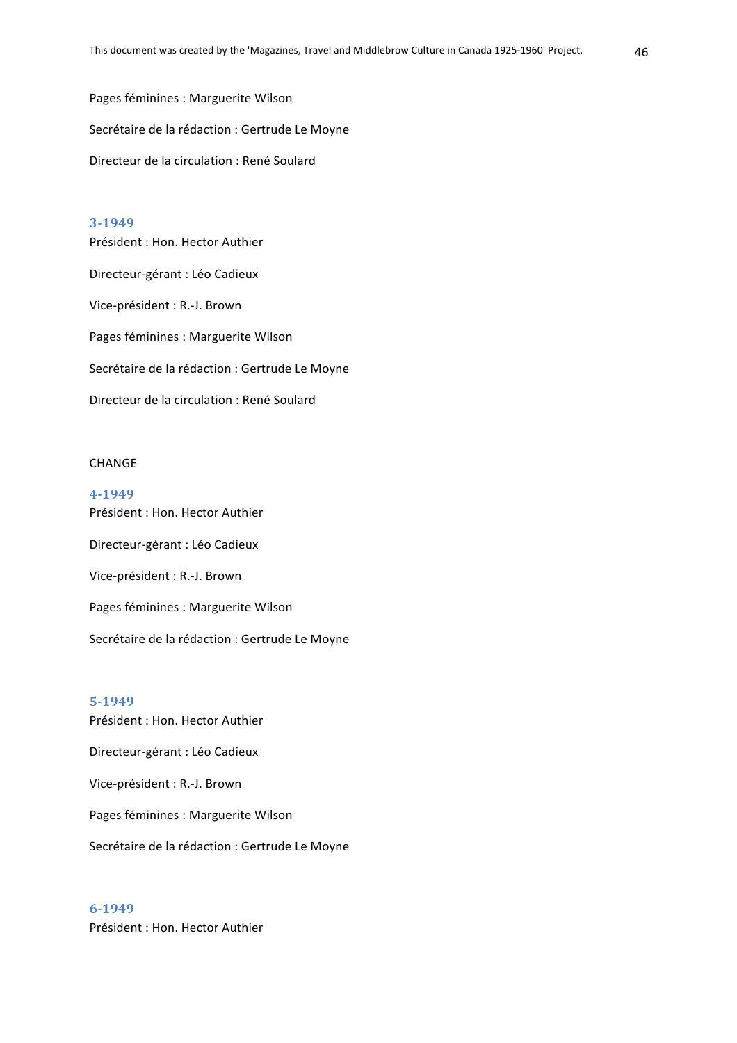Pages féminines : Marguerite Wilson Secrétaire de la rédaction : Gertrude Le Moyne Directeur de la circulation : René Soulard

## **3-1949**

Président : Hon. Hector Authier Directeur-gérant : Léo Cadieux Vice-président : R.-J. Brown Pages féminines : Marguerite Wilson Secrétaire de la rédaction : Gertrude Le Moyne Directeur de la circulation : René Soulard

#### **CHANGE**

**4-1949** Président : Hon. Hector Authier Directeur-gérant : Léo Cadieux Vice-président : R.-J. Brown Pages féminines : Marguerite Wilson Secrétaire de la rédaction : Gertrude Le Moyne

#### **5-1949**

Président : Hon. Hector Authier Directeur-gérant : Léo Cadieux Vice-président : R.-J. Brown Pages féminines : Marguerite Wilson Secrétaire de la rédaction : Gertrude Le Moyne

**6-1949** Président : Hon. Hector Authier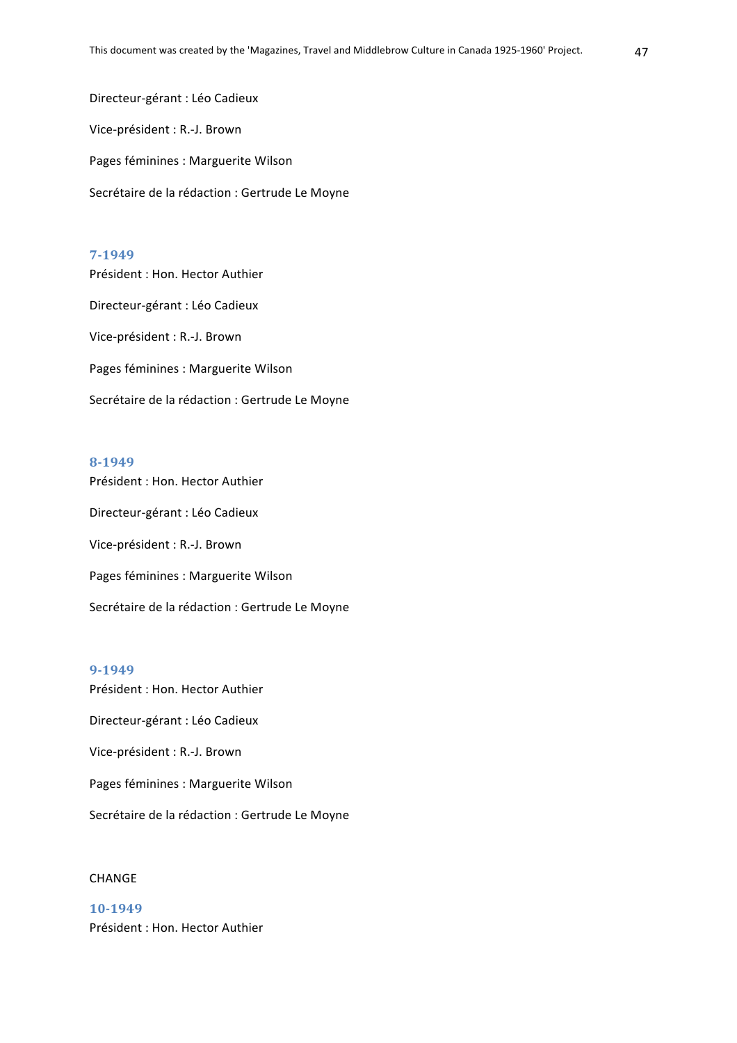Directeur-gérant : Léo Cadieux Vice-président : R.-J. Brown Pages féminines : Marguerite Wilson Secrétaire de la rédaction : Gertrude Le Moyne

#### **7-1949**

Président : Hon. Hector Authier Directeur-gérant : Léo Cadieux Vice-président : R.-J. Brown Pages féminines : Marguerite Wilson Secrétaire de la rédaction : Gertrude Le Moyne

#### **8-1949**

Président : Hon. Hector Authier Directeur-gérant : Léo Cadieux Vice-président : R.-J. Brown Pages féminines : Marguerite Wilson Secrétaire de la rédaction : Gertrude Le Moyne

#### **9-1949**

Président : Hon. Hector Authier

Directeur-gérant : Léo Cadieux

Vice-président : R.-J. Brown

Pages féminines : Marguerite Wilson

Secrétaire de la rédaction : Gertrude Le Moyne

## CHANGE

**10-1949** Président : Hon. Hector Authier